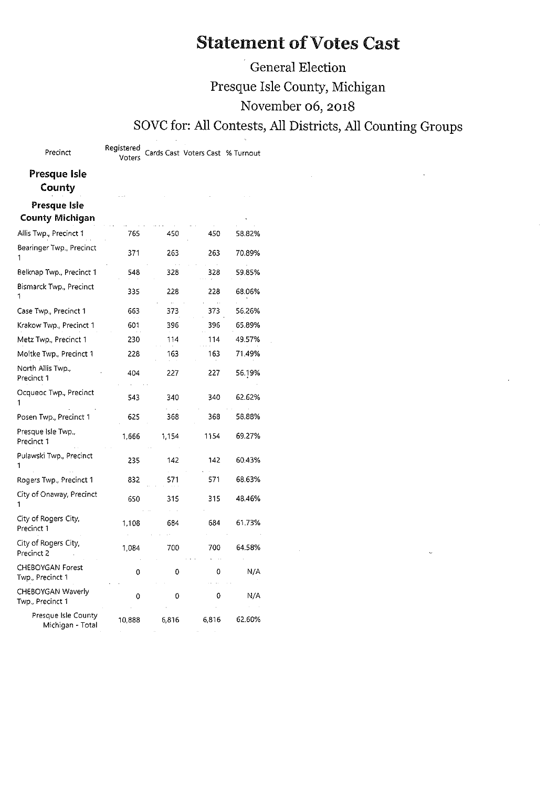#### Statement of Votes Cast

#### General Election Presque Isle County, Michigan November 06, 2018

#### SOVC for: All Contests, All Districts, All Counting Groups

Precinct

Registered<br>Voters Cards Cast Voters Cast % Turnout

| Presque Isle<br>County                      |        |       |       |        |
|---------------------------------------------|--------|-------|-------|--------|
| Presque Isle<br>County Michigan             |        |       |       |        |
| Allis Twp., Precinct 1                      | 765    | 450   | 450   | 58.82% |
| Bearinger Twp., Precinct<br>1               | 371    | 263   | 263   | 70.89% |
| Belknap Twp., Precinct 1                    | 548    | 328   | 328   | 59.85% |
| Bismarck Twp., Precinct<br>1                | 335    | 228   | 228   | 68.06% |
| Case Twp., Precinct 1                       | 663    | 373   | 373   | 56.26% |
| Krakow Twp., Precinct 1                     | 601    | 396   | 396   | 65.89% |
| Metz Twp., Precinct 1                       | 230    | 114   | 114   | 49.57% |
| Moltke Twp., Precinct 1                     | 228    | 163   | 163   | 71.49% |
| North Allis Twp.,<br>Precinct 1             | 404    | 227   | 227   | 56.19% |
| Ocqueoc Twp., Precinct                      | 543    | 340   | 340   | 62.62% |
| Posen Twp., Precinct 1                      | 625    | 368   | 368   | 58.88% |
| Presque Isle Twp.,<br>Precinct 1            | 1,666  | 1,154 | 1154  | 69.27% |
| Pulawski Twp., Precinct                     | 235    | 142   | 142   | 60.43% |
| Rogers Twp., Precinct 1                     | 832    | 571   | 571   | 68.63% |
| City of Onaway, Precinct                    | 650    | 315   | 315   | 48.46% |
| City of Rogers City,<br>Precinct 1          | 1,108  | 634   | 684   | 61.73% |
| City of Rogers City,<br>Precinct 2          | 1,084  | 700   | 700   | 64.58% |
| <b>CHEBOYGAN Forest</b><br>Twp., Precinct 1 | 0      | 0     | 0     | N/A    |
| CHEBOYGAN Waverly<br>Twp., Precinct 1       | 0      | 0     | 0     | N/A    |
| Presque Isle County<br>Michigan - Total     | 10,888 | 6,816 | 6,816 | 62.60% |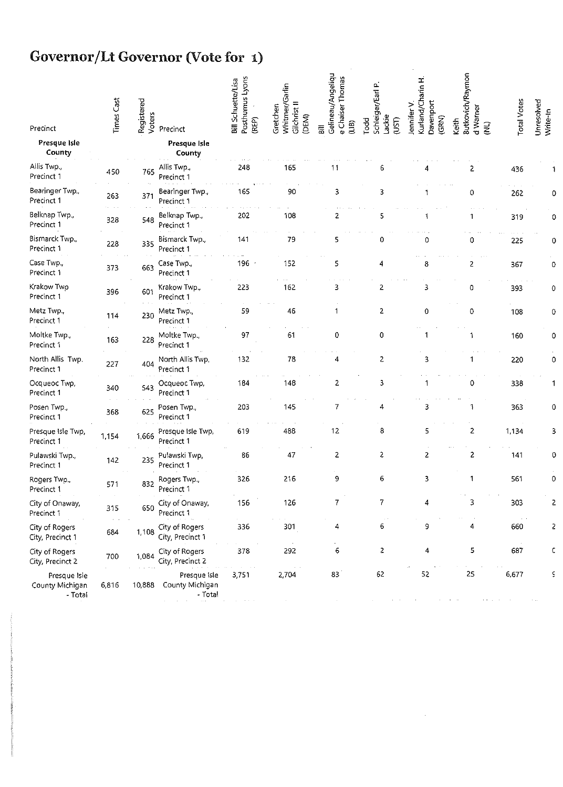## **Governor /Lt Governor (Vote for** 1)

| Precinct                                   | <b>Times Cast</b> | Registered<br>Voters | Precinct                                   | Posthumus Lyons<br>Bill Schuette/Lisa<br>(REP) | Whitmer/Garlin<br>Gilchrist II<br>Gretchen<br>(DEM) | Gelineau/Angeliqu<br>e Chaiser Thomas<br>(LIB)<br>$\overline{a}$ | Schleiger/Earl P.<br>Lackie<br>Todd<br>ίsη | Kurland/Charin H.<br>Davenport<br>Jennifer V.<br>(GRN) | Butkovich/Raymon<br>d Warner<br>Keith<br>ਵੇ | <b>Total Votes</b> | Unresolved<br>Write-In |
|--------------------------------------------|-------------------|----------------------|--------------------------------------------|------------------------------------------------|-----------------------------------------------------|------------------------------------------------------------------|--------------------------------------------|--------------------------------------------------------|---------------------------------------------|--------------------|------------------------|
| Presque Isle<br>County                     |                   |                      | Presque Isle<br>County                     |                                                |                                                     |                                                                  |                                            |                                                        |                                             |                    |                        |
| Allis Twp.,<br>Precinct 1                  | 450               | 765                  | Allis Twp.,<br>Precinct 1                  | 248                                            | 165                                                 | 11                                                               |                                            |                                                        | 2                                           | 436                |                        |
| Bearinger Twp.,<br>Precinct 1              | 263               | 371                  | Bearinger Twp.,<br>Precinct 1              | 165                                            | 90                                                  | 3                                                                | 3                                          |                                                        | 0                                           | 262                | 0                      |
| Belknap Twp.,<br>Precinct 1                | 328               | 548                  | Beiknap Twp.,<br>Precinct 1                | 202                                            | 108                                                 | 2                                                                | 5                                          |                                                        |                                             | 319                | ٥                      |
| Bismarck Twp.,<br>Precinct 1               | 228               | 335                  | Bismarck Twp.,<br>Precinct 1               | 4                                              | 79                                                  | 5                                                                | 0                                          | 0                                                      | 0                                           | 225                | 0                      |
| Case Twp.,<br>Precinct 1                   | 373               | 663                  | Case Twp.,<br>Precinct 1                   | 196                                            | 152                                                 | 5                                                                | 4                                          | 8                                                      | 2                                           | 367                | 0                      |
| Krakow Twp<br>Precinct 1                   | 396               | 601                  | Krakow Twp.,<br>Precinct 1                 | 223                                            | 162                                                 | 3                                                                | 2                                          | 3                                                      | 0                                           | 393                | $\mathbf 0$            |
| Metz Twp.,<br>Precinct 1                   | 114               | 230                  | Metz Twp.,<br>Precinct 1                   | 59                                             | 46                                                  | 1                                                                | 2                                          | $\Omega$                                               | 0                                           | 108                | 0                      |
| Moltke Twp.,<br>Precinct 1                 | 163               | 228                  | Moltke Twp.,<br>Precinct 1                 | 97                                             | 61                                                  | 0                                                                | 0                                          |                                                        |                                             | 160                | 0                      |
| North Allis Twp.<br>Precinct 1             | 227               | 404                  | North Allis Twp,<br>Precinct 1             | 132                                            | 78                                                  | 4                                                                | 2                                          | 3                                                      |                                             | 220                | 0                      |
| Ocqueoc Twp,<br>Precinct 1                 | 340               | 543                  | Ocqueoc Twp,<br>Precinct 1                 | 184                                            | 148                                                 | 2                                                                | 3                                          |                                                        | 0                                           | 338                | 1                      |
| Posen Twp.,<br>Precinct 1                  | 368               | 625                  | Posen Twp.,<br>Precinct 1                  | 203                                            | 145                                                 | 7                                                                | 4                                          | 3                                                      | 1                                           | 363                | 0                      |
| Presque Isle Twp,<br>Precinct 1            | 1,154             | 1,666                | Presque Isle Twp,<br>Precinct 1            | 619                                            | 488                                                 | 12                                                               | 8                                          | 5                                                      | 2                                           | 1,134              | 3                      |
| Pulawski Twp.,<br>Precinct 1               | 142               | 235                  | Pulawski Twp,<br>Precinct 1                | 86                                             | 47                                                  | 2                                                                | 2                                          | $\overline{2}$                                         | 2                                           | 141                | 0l                     |
| Rogers Twp.,<br>Precinct 1                 | 571<br>$\sim$     | 832                  | Rogers Twp.,<br>Precinct 1                 | 326                                            | 216                                                 | 9                                                                | 6                                          | 3                                                      | 1                                           | 561                | 0                      |
| City of Onaway,<br>Precinct 1              | 315               | 650                  | City of Onaway,<br>Precinct 1              | 156                                            | 126                                                 | 7                                                                | $\boldsymbol{7}$<br>$\sim$                 | 4                                                      | 3                                           | 303<br>$\sim$      | 2                      |
| City of Rogers<br>City, Precinct 1         | 684               | 1,108                | City of Rogers<br>City, Precinct 1         | 336                                            | 301<br>$\sim$                                       | 4                                                                | 6                                          | 9                                                      | 4                                           | 660                | 2                      |
| City of Rogers<br>City, Precinct 2         | 700               | 1,084                | City of Rogers<br>City, Precinct 2         | 378                                            | 292                                                 | 6                                                                | $\overline{z}$                             | 4                                                      | 5                                           | 687                | c                      |
| Presque Isle<br>County Michigan<br>- Totai | 6,816             | 10,888               | Presque isle<br>County Michigan<br>- Total | 3,751                                          | 2,704                                               | 83                                                               | 62                                         | 52                                                     | 25                                          | 6,677              | ç.                     |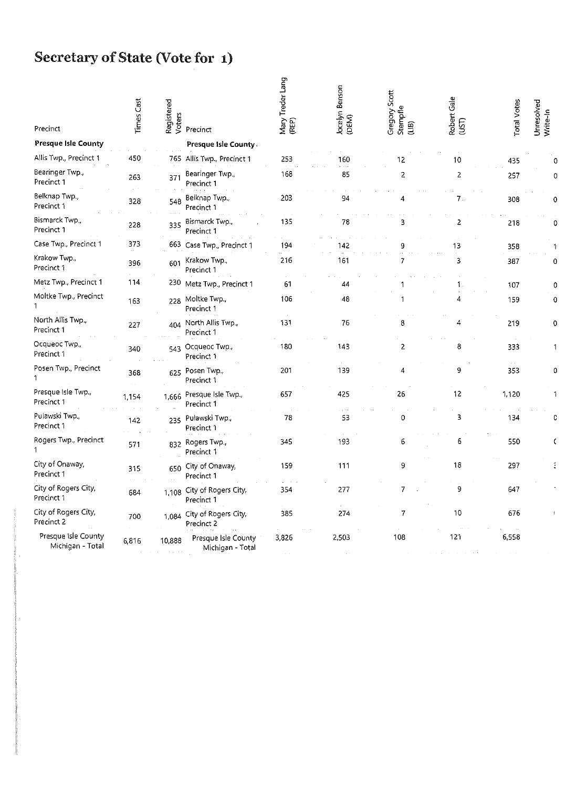#### **Secretary of State (Vote for** 1)

| Precinct                                | <b>Times Cast</b> | Registered<br>Voters | Precinct                                | Mary Treder Lang<br>(REP) | Jocelyn Benson<br>(DEM) | Gregory Scott<br>Stempfle<br>(LIB) | Robert Gale<br>(UST) | <b>Total Votes</b> | Unresolved<br>Write-In |
|-----------------------------------------|-------------------|----------------------|-----------------------------------------|---------------------------|-------------------------|------------------------------------|----------------------|--------------------|------------------------|
| <b>Presque Isle County</b>              |                   |                      | Presque Isle County                     |                           |                         |                                    |                      |                    |                        |
| Allis Twp., Precinct 1                  | 450               |                      | 765 Allis Twp., Precinct 1              | 253                       | 160                     | 12                                 | 10                   | 435                |                        |
| Bearinger Twp.,<br>Precinct 1           | 263               | 371                  | Bearinger Twp.,<br>Precinct 1           | 168                       | 85                      | $\overline{2}$                     | 2                    | 257                |                        |
| Belknap Twp.,<br>Precinct 1             | 328               | 548                  | Belknap Twp.,<br>Precinct 1             | 203                       | 94                      |                                    | 7                    | 308                |                        |
| Bismarck Twp.,<br>Precinct 1            | 228               | 335                  | Bismarck Twp.,<br>Precinct 1            | 135                       | 78                      | 3                                  | 2                    | 218                |                        |
| Case Twp., Precinct 1                   | 373               | 663                  | Case Twp., Precinct 1                   | 194                       | 142                     | ą                                  | 13                   | 358                |                        |
| Krakow Twp.,<br>Precinct 1              | 396               | 601                  | Krakow Twp.,<br>Precinct 1              | 216                       | 161                     |                                    | 3                    | 387                |                        |
| Metz Twp., Precinct 1                   | 114               | 230                  | Metz Two., Precinct 1                   | 61                        | 44                      |                                    |                      | 107                |                        |
| Moltke Twp., Precinct                   | 163               | 228                  | Moltke Twp.,<br>Precinct 1              | 106                       | 48                      |                                    | 4                    | 159                |                        |
| North Allis Twp.,<br>Precinct 1         | 227               | 404                  | North Allis Twp.,<br>Precinct 1         | 131                       | 76                      | 8                                  | 4                    | 219                |                        |
| Ocqueoc Twp.,<br>Precinct 1             | 340               |                      | 543 Ocqueoc Twp.,<br>Precinct 1         | 180                       | 143                     | $\overline{\mathbf{c}}$            | 8                    | 333                |                        |
| Posen Twp., Precinct                    | 368               |                      | 625 Posen Twp.,<br>Precinct 1           | 201                       | 139                     | 4                                  | 9                    | 353                |                        |
| Presque Isle Twp.,<br>Precinct 1        | 1,154             | 1.666                | Presque Isle Twp.,<br>Precinct 1        | 657                       | 425                     | 26                                 | 12                   | 1,120              |                        |
| Pulawski Twp.,<br>Precinct 1            | 142               | 235                  | Pulawski Twp.<br>Precinct 1             | 78                        | 53                      | 0                                  | 3                    | 134                |                        |
| Rogers Twp., Precinct                   | 571               |                      | 832 Rogers Twp.,<br>Precinct 1          | 345                       | 193                     | 6                                  | 6                    | 550                |                        |
| City of Onaway,<br>Precinct 1           | 315               |                      | 650 City of Onaway,<br>Precinct 1       | 159                       | 111                     | 9                                  | 18                   | 297                |                        |
| City of Rogers City.<br>Precinct 1      | 684               | 1.108                | City of Rogers City,<br>Precinct 1      | 354                       | 277                     | 7                                  | 9                    | 647                |                        |
| City of Rogers City,<br>Precinct 2      | 700               | 1.084                | City of Rogers City,<br>Precinct 2      | 385                       | 274                     | 7                                  | 10                   | 676                |                        |
| Presque Isle County<br>Michigan - Total | 6,816             | 10,888               | Presque Isle County<br>Michigan - Total | 3,826                     | 2,503                   | 108                                | 121                  | 6,558              |                        |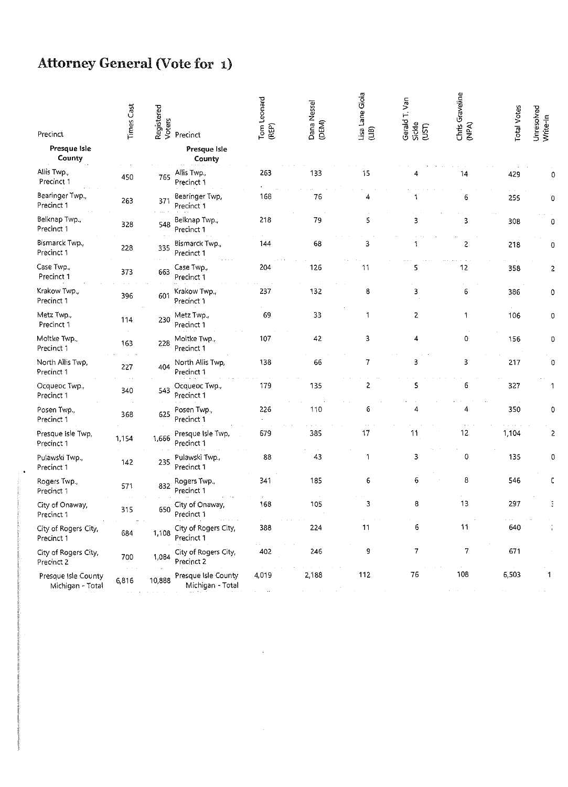## **Attorney General (Vote for** 1)

| Precinct                                | <b>Times Cast</b> | Registered<br>Voters | Precinct                                | Tom Leonard<br>(REP) | Dana Nessel<br>(DEM) | Lisa Lane Gioia<br>(LIB) | Gerald T. Van<br>Sickle<br>(UST) | Chris Graveline<br>(NPA) | <b>Total Votes</b> | Unresolved<br>Write-In                                     |
|-----------------------------------------|-------------------|----------------------|-----------------------------------------|----------------------|----------------------|--------------------------|----------------------------------|--------------------------|--------------------|------------------------------------------------------------|
| Presque Isle<br>County                  |                   |                      | Presque Isle<br>County                  |                      |                      |                          |                                  |                          |                    |                                                            |
| Allis Twp.,<br>Precinct 1               | 450               | 765                  | Allis Twp.,<br>Precinct 1               | 263                  | 133                  | 15                       | 4                                | 14                       | 429                | $\Omega$                                                   |
| Bearinger Twp.,<br>Precinct 1           | 263               | 371                  | Bearinger Twp,<br>Precinct 1            | 168                  | 76                   |                          |                                  | 6                        | 255                | 0                                                          |
| Belknap Twp.,<br>Precinct 1             | 328               | 548                  | Beiknap Twp.<br>Precinct 1              | 218                  | 79                   | 5                        | 3                                | 3                        | 308                | $\overline{0}$                                             |
| Bismarck Twp.<br>Precinct 1             | 228               | 335                  | Bismarck Twp.,<br>Precinct 1            | 144                  | 68                   | 3                        |                                  | 2                        | 218                | 0                                                          |
| Case Twp.,<br>Precinct 1                | 373               | 663                  | Case Twp.,<br>Precinct 1                | 204                  | 126                  | 11                       | 5                                | 12                       | 358                | $\overline{z}$                                             |
| Krakow Twp.,<br>Precinct 1              | 396               | 601                  | Krakow Twp.,<br>Precinct 1              | 237                  | 132                  | 8                        | 3                                | 6                        | 386                | 0                                                          |
| Metz Twp.,<br>Precinct 1                | 114               | 230                  | Metz Twp.,<br>Precinct 1                | 69                   | 33                   | 1                        | $\overline{2}$                   | 1                        | 106                | $\mathsf{O}\hspace{-.1ex}\rule{0.7pt}{0.8ex}\hspace{.1ex}$ |
| Moltke Twp.,<br>Precinct 1              | 163               | 228                  | Moltke Twp.,<br>Precinct 1              | 107                  | 42                   | 3                        | 4                                | 0                        | 156                | 0                                                          |
| North Allis Twp,<br>Precinct 1          | 227               | 404                  | North Allis Twp,<br>Precinct 1          | 138                  | 66                   | 7                        | 3                                | 3                        | 217                | $\mathbf 0$                                                |
| Ocqueoc Twp.<br>Precinct 1              | 340               | 543                  | Ocqueoc Twp.,<br>Precinct 1             | 179                  | 135                  | 2                        | 5                                | 6                        | 327                | 1                                                          |
| Posen Twp.,<br>Precinct 1               | 368               | 625                  | Posen Twp.,<br>Precinct 1               | 226                  | 110                  | 6                        | 4                                | 4                        | 350                | 0                                                          |
| Presque isle Twp,<br>Precinct 1         | 1,154             | 1,666                | Presque Isle Twp,<br>Precinct 1         | 679                  | 385                  | 17                       | 11                               | 12                       | 1,104              | $\overline{2}$                                             |
| Pulawski Twp.,<br>Precinct 1            | 142               | 235                  | Pulawski Twp.,<br>Precinct 1            | 88                   | 43                   | $\mathbf{1}$             | 3                                | $\mathbf 0$              | 135                | 0                                                          |
| Rogers Twp.,<br>Precinct 1              | 571               | 832                  | Rogers Twp.,<br>Precinct 1              | 341                  | 185                  | 6                        | 6                                | 8                        | 546                | C                                                          |
| City of Onaway,<br>Precinct 1           | 315               | 650                  | City of Onaway,<br>Precinct 1           | 168                  | 105                  | 3                        | 8                                | 13                       | 297                |                                                            |
| City of Rogers City,<br>Precinct 1      | 684               | 1,108                | City of Rogers City.<br>Precinct 1      | 388                  | 224                  | 11                       | 6                                | 11                       | 640                | $\frac{1}{4}$                                              |
| City of Rogers City,<br>Precinct 2      | 700               | 1,084                | City of Rogers City,<br>Precinct 2      | 402                  | 246                  | 9                        | 7                                | 7                        | 671                |                                                            |
| Presque Isle County<br>Michigan - Total | 6,816             | 10,888               | Presque Isle County<br>Michigan - Total | 4.019                | 2,188                | 112                      | 76                               | 108                      | 6,503              | 1                                                          |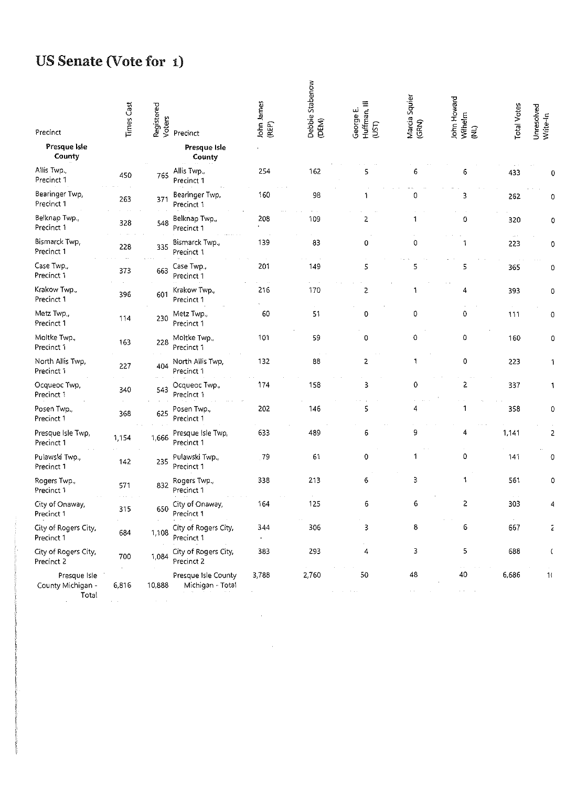#### **US Senate (Vote for** 1)

| Precinct                                   | <b>Times Cast</b>                | Registered<br>Voters | Precinct                                | John James<br>(REP) | Debbie Stabenov<br>(DEM) | Huffman, III<br>George E.<br><b>SD</b> | Marcia Squier<br>(GRN) | John Howard<br>Wilhelm<br>(NL) | <b>Total Votes</b>         | Unresolved<br>Write-In |
|--------------------------------------------|----------------------------------|----------------------|-----------------------------------------|---------------------|--------------------------|----------------------------------------|------------------------|--------------------------------|----------------------------|------------------------|
| Presque Isle<br>County                     |                                  |                      | Presque Isle<br>County                  |                     |                          |                                        |                        |                                |                            |                        |
| Allis Twp.,<br>Precinct 1                  | 450                              | 765                  | Allis Twp.,<br>Precinct 1               | 254                 | 162                      | 5                                      | 6                      | 6                              | 433                        |                        |
| Bearinger Twp,<br>Precinct 1               | 263                              | 371                  | Bearinger Twp,<br>Precinct 1            | 160                 | 98                       | ำ                                      | 0                      | 3                              | 262                        | 0                      |
| Belknap Twp.,<br>Precinct 1                | 328                              | 548                  | Belknap Twp.,<br>Precinct 1             | 208                 | 109                      | 2                                      | 1                      | 0                              | 320                        |                        |
| Bismarck Twp,<br>Precinct 1                | 228                              | 335                  | Bismarck Twp.,<br>Precinct 1            | 139                 | 83                       | 0                                      | 0                      | 1                              | $\alpha$ , $\gamma$<br>223 | 0                      |
| Case Twp.,<br>Precinct 1                   | 373                              | 663                  | Case Twp.,<br>Precinct 1                | 201<br>$\sim$       | 149                      | 5                                      | 5                      | 5                              | 365                        | 0                      |
| Krakow Twp.<br>Precinct 1                  | 396                              | 601                  | Krakow Twp.,<br>Precinct 1              | 216                 | 170                      | s                                      | 1                      | 4                              | 393                        | 0                      |
| Metz Twp.,<br>Precinct 1                   | 114                              | 230                  | Metz Twp.,<br>Precinct 1                | 60                  | 51                       | 0                                      | 0                      | $\ddot{\rm{o}}$                | 111                        | 0                      |
| Moltke Twp.,<br>Precinct 1                 | 163                              | 228                  | Moltke Twp.,<br>Precinct 1              | 101                 | 59                       | 0                                      | 0                      | 0                              | 160                        | 0                      |
| North Allis Twp,<br>Precinct 1             | 227                              | 404                  | North Allis Twp,<br>Precinct 1          | 132                 | 88                       | 2                                      | $\mathbf{1}$           | 0                              | 223                        |                        |
| Ocqueoc Twp,<br>Precinct 1                 | 340                              | 543                  | Ocqueoc Twp.,<br>Precinct 1             | 174                 | 158                      | 3                                      | $\mathbf 0$            | 2                              | 337                        |                        |
| Posen Twp.,<br>Precinct 1                  | 368                              | 625                  | Posen Twp.,<br>Precinct 1               | 202                 | 146                      | 5                                      | 4                      |                                | 358                        | 0                      |
| Presque Isle Twp,<br>Precinct 1            | 1,154                            | 1,666                | Presque Isle Twp,<br>Precinct 1         | 633                 | 489                      | 6                                      | 9                      | 4                              | 1,141                      | 2                      |
| Pulawski Twp.,<br>Precinct 1               | 142                              | 235                  | Pulawski Twp.,<br>Precinct 1            | 79                  | 61                       | 0                                      | 1                      | 0                              | 141                        | 0                      |
| Rogers Twp.,<br>Precinct 1                 | 571                              | 832                  | Rogers Twp.,<br>Precinct 1              | 338                 | 213                      | 6                                      | 3                      | 1                              | 561                        | 0                      |
| City of Onaway,<br>Precinct 1              | 315                              | 650                  | City of Onaway,<br>Precinct 1           | 164                 | 125                      | 6                                      | 6                      | 2                              | 303                        | 4                      |
| City of Rogers City,<br>Precinct 1         | 684                              | 1,108                | City of Rogers City.<br>Precinct 1      | 344<br>$\bullet$    | 306                      | 3                                      | 8                      | 6                              | 667                        | ĩ                      |
| City of Rogers City,<br>Precinct 2         | 700                              | 1,084                | City of Rogers City,<br>Precinct 2      | 383                 | 293                      | 4                                      | 3                      | 5                              | 688                        |                        |
| Presque Isle<br>County Michigan -<br>Total | 6,816<br>$\epsilon = \epsilon$ . | 10,888               | Presque Isle County<br>Michigan - Total | 3,788               | 2,760                    | 50<br>$\sim$ $\sim$ $\sim$             | 48<br>$\sim$           | 40<br>and the con-             | 6,686                      | $\mathbf{1}$           |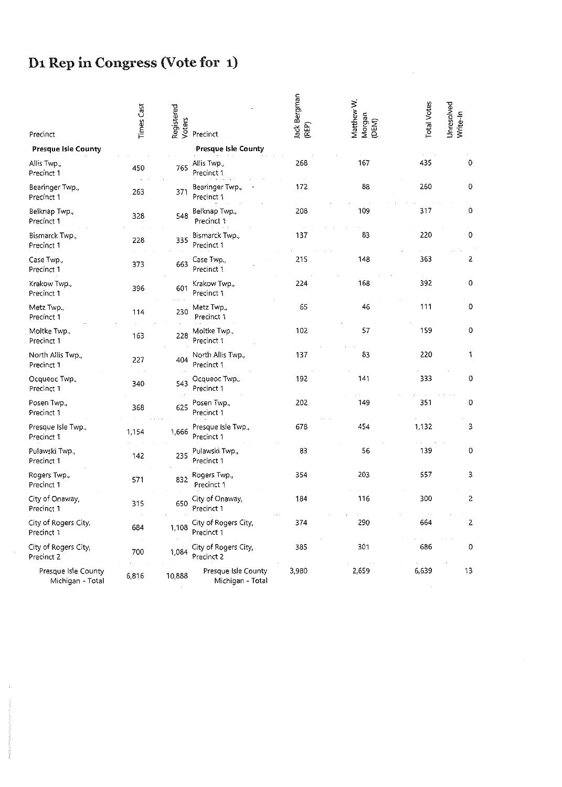# **D1 Rep in Congress (Vote for 1)**

 $\sim$ 

| Precinct                                | <b>Times Cast</b> | Registered<br>Voters | Precinct                                | Jack Bergman<br>(REP)                  | Matthew W<br>Morgan<br>(DEM) | <b>Total Votes</b> | Unresolved<br>Write-In |
|-----------------------------------------|-------------------|----------------------|-----------------------------------------|----------------------------------------|------------------------------|--------------------|------------------------|
| <b>Presque Isle County</b>              |                   |                      | Presque Isle County                     |                                        |                              |                    |                        |
| Allis Twp.<br>Precinct 1                | 450               | 765                  | Allis Twp.,<br>Precinct 1               | 268<br>$\epsilon \rightarrow \epsilon$ | 167                          | 455                | $\theta$               |
| Bearinger Twp.,<br>Precinct 1           | 263               | 371                  | Bearinger Twp.,<br>Precinct 1           | 172                                    | 88                           | 260                | $\mathbf 0$            |
| Beiknap Twp.,<br>Precinct 1             | 328               | 548                  | Belknap Twp.,<br>Precinct 1             | 208                                    | 109                          | 317                | 0                      |
| Bismarck Twp.,<br>Precinct 1            | 228               | 335                  | Bismarck Twp.,<br>Precinct 1            | 137                                    | 83                           | 220                | 0                      |
| Case Twp.,<br>Precinct 1                | 373               | 663                  | Case Twp.,<br>Precinct 1                | 215                                    | 148                          | 363                | 2                      |
| Krakow Twp.,<br>Precinct 1              | 396               | 601                  | Krakow Twp.,<br>Precinct 1              | 224                                    | 168                          | 392                | 0                      |
| Metz Twp.,<br>Precinct 1                | 114               | 230                  | Metz Twp.,<br>Precinct 1                | 65                                     | 46                           | 111                | $\mathbf 0$            |
| Moltke Twp.,<br>Precinct 1              | 163               | 228                  | Moltke Twp.,<br>Precinct 1              | 102                                    | 57                           | 159                | 0                      |
| North Allis Twp.,<br>Precinct 1         | 227               | 404                  | North Allis Twp.,<br>Precinct 1         | 137                                    | 83                           | 220                | 1                      |
| Ocqueoc Twp.,<br>Precinct 1             | 340               | 543                  | Ocqueoc Twp.<br>Precinct 1              | 192                                    | 141                          | 333                | 0                      |
| Posen Twp.,<br>Precinct 1               | 368               | 625                  | Posen Twp.<br>Precinct 1                | 202                                    | 149                          | 351                | 0                      |
| Presque Isle Twp.,<br>Precinct 1        | 1,154             | 1,666                | Presque Isle Twp.<br>Precinct 1         | 678                                    | 454                          | 1,132              | 3                      |
| Puławski Twp.,<br>Precinct 1            | 142               | 235                  | Pulawski Twp.,<br>Precinct 1            | 83                                     | 56                           | 139                | 0                      |
| Rogers Twp.,<br>Precinct 1              | 571               | 832                  | Rogers Twp.,<br>Precinct 1              | 354                                    | 203                          | 557                | 3                      |
| City of Onaway,<br>Precinct 1           | 315               | 650                  | City of Onaway,<br>Precinct 1           | 184                                    | 116                          | 300                | 2                      |
| City of Rogers City,<br>Precinct 1      | 684               | 1,108                | City of Rogers City,<br>Precinct 1      | 374                                    | 290                          | 664                | 2                      |
| City of Rogers City,<br>Precinct 2      | 700               | 1,084                | City of Rogers City,<br>Precinct 2      | 385                                    | 301                          | 686                | 0                      |
| Presque Isle County<br>Michigan - Total | 6,816             | 10,888               | Presque Isle County<br>Michigan - Total | 3,980                                  | 2,659                        | 6,639              | 13                     |

 $\mathcal{A}^{\mathcal{A}}$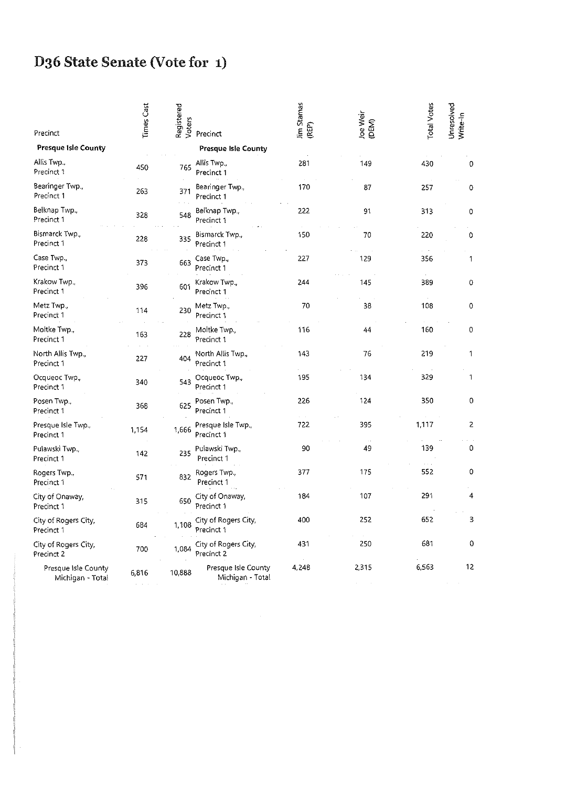# **D36 State Senate (Vote for 1)**

| Precinct                                | <b>Times Cast</b> | Registered<br>Voters | Precinct                                | Jim Stamas<br>(REP)     | Joe Weir<br>(DEM) | <b>Total Votes</b> | Unresolved<br>Write-In |
|-----------------------------------------|-------------------|----------------------|-----------------------------------------|-------------------------|-------------------|--------------------|------------------------|
| <b>Presque Isle County</b>              |                   |                      | Presque Isle County                     |                         |                   |                    |                        |
| Allis Twp.,<br>Precinct 1               | 450               | 765                  | Allis Twp.,<br>Precinct 1               | 281                     | 149               | 430                | 0                      |
| Bearinger Twp.,<br>Precinct 1           | 263               | 371                  | Bearinger Twp.,<br>Precinct 1           | 170                     | 87                | 257                | 0                      |
| Belknap Twp.,<br>Precinct 1             | 328               | 548                  | Belknap Twp.,<br>Precinct 1             | 222                     | 91                | 313                | 0                      |
| Bismarck Twp.,<br>Precinct 1            | 228               | 335                  | Bismarck Twp.<br>Precinct 1             | 150                     | 70                | 220                | 0                      |
| Case Twp.<br>Precinct 1                 | 373               | 663                  | Case Twp.,<br>Precinct 1                | 227                     | 129               | 356                | 1                      |
| Krakow Twp.,<br>Precinct 1              | 396               | 601                  | Krakow Twp.,<br>Precinct 1              | 244                     | 145               | 389                | 0                      |
| Metz Twp.<br>Precinct 1                 | 114               | 230                  | Metz Twp.,<br>Precinct 1                | 70                      | 38                | 108                | 0                      |
| Moltke Twp.,<br>Precinct 1              | 163               | 228                  | Moltke Twp.,<br>Precinct 1              | 116                     | 44                | 160                | 0                      |
| North Allis Twp.,<br>Precinct 1         | 227               | 404                  | North Allis Twp.,<br>Precinct 1         | 143                     | 76                | 219                | 1                      |
| Ocqueoc Twp.,<br>Precinct 1             | 340               | 543                  | Ocqueoc Twp.<br>Precinct 1              | 195                     | 134               | 329                | 1                      |
| Posen Twp.,<br>Precinct 1               | 368               | 625                  | Posen Twp.,<br>Precinct 1               | 226<br>$\alpha = 1$ and | 124               | 350                | 0                      |
| Presque Isle Twp.,<br>Precinct 1        | 1,154             | 1,666                | Presque Isle Twp.,<br>Precinct 1        | 722                     | 395               | 1,117              | $\mathbf{2}$           |
| Pulawski Twp.,<br>Precinct 1            | 142               | 235                  | Puławski Twp.,<br>Precinct 1            | 90                      | 49                | 139                | 0                      |
| Rogers Twp.,<br>Precinct 1              | 571               | 832                  | Rogers Twp.,<br>Precinct 1              | 377                     | 175               | 552                | 0                      |
| City of Onaway,<br>Precinct 1           | 315               | 650                  | City of Onaway,<br>Precinct 1           | 184                     | 107               | 291                | 4                      |
| City of Rogers City,<br>Precinct 1      | 684               | 1,108                | City of Rogers City,<br>Precinct 1      | 400                     | 252               | 652                | 3                      |
| City of Rogers City,<br>Precinct 2      | 700               | 1,084                | City of Rogers City,<br>Precinct 2      | 431                     | 250               | 681                | $\pmb{0}$              |
| Presque isle County<br>Michigan - Total | 6,816             | 10,888               | Presque Isle County<br>Michigan - Total | 4,248                   | 2,315             | 6,563              | 12                     |

 $\sim$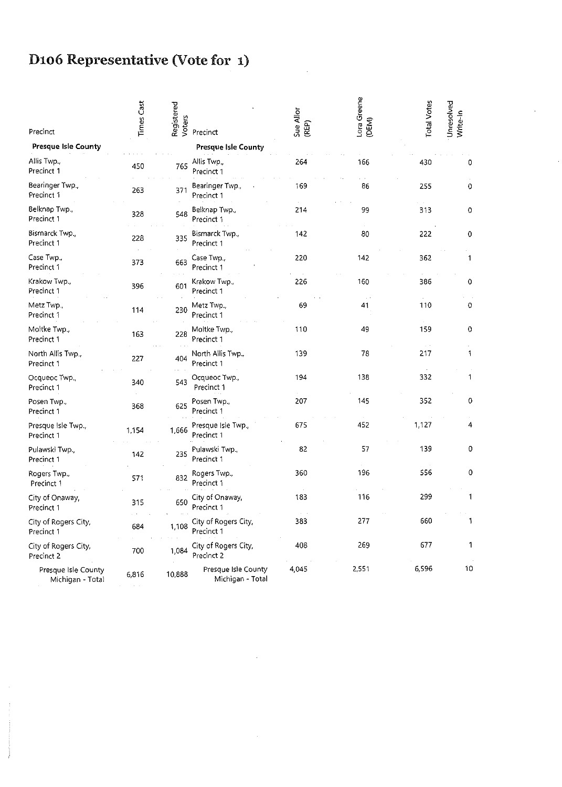## **D106 Representative (Vote for 1)**

| Precinct                                | <b>Times Cast</b> | Registered<br>Voters | Precinct                                | Sue Allor<br>(REP) | Lora Greene<br>(DEM) | <b>Total Votes</b> | Unresolved<br>Write-In |
|-----------------------------------------|-------------------|----------------------|-----------------------------------------|--------------------|----------------------|--------------------|------------------------|
| Presque Isle County                     |                   |                      | <b>Presque Isle County</b>              |                    |                      |                    |                        |
| Allis Twp.<br>Precinct 1                | 450               | 765                  | Allis Twp.,<br>Precinct 1               | 264                | 166                  | 430                | 0                      |
| Bearinger Twp.,<br>Precinct 1           | 263               | 371                  | Bearinger Twp.,<br>Precinct 1           | 169                | 86                   | 255                | 0                      |
| Belknap Twp.,<br>Precinct 1             | 328               | 548                  | Belknap Twp.,<br>Precinct 1             | 214                | 99                   | 313                | 0                      |
| Bismarck Twp.,<br>Precinct 1            | 228               | 335                  | Bismarck Twp.,<br>Precinct 1            | 142                | 80                   | 222                | $\mathbf 0$            |
| Case Twp.<br>Precinct 1                 | 373               | 663                  | Case Twp.,<br>Precinct 1                | 220                | 142                  | 362                | 1                      |
| Krakow Twp.,<br>Precinct 1              | 396               | 601                  | Krakow Twp.,<br>Precinct 1              | 226                | 160                  | 386                | 0                      |
| Metz Twp.,<br>Precinct 1                | 114               | 230                  | Metz Twp.,<br>Precinct 1                | 69                 | 41                   | 110                | 0                      |
| Moltke Twp.,<br>Precinct 1              | 163               | 228                  | Moltke Twp.,<br>Precinct 1              | 110                | 49                   | 159                | $\mathbf 0$            |
| North Allis Twp.,<br>Precinct 1         | 227               | 404                  | North Allis Twp.,<br>Precinct 1         | 139                | 78                   | 217                | 1                      |
| Ocqueoc Twp.,<br>Precinct 1             | 340               | 543                  | Ocqueoc Twp.<br>Precinct 1              | 194                | 138                  | 332                | 1                      |
| Posen Twp.,<br>Precinct 1               | 368               | 625                  | Posen Twp.,<br>Precinct 1               | 207                | 145                  | 352                | 0                      |
| Presque Isle Twp.,<br>Precinct 1        | 1,154             | 1,666                | Presque Isle Twp.,<br>Precinct 1        | 675                | 452                  | 1,127              | 4                      |
| Pulawski Twp.,<br>Precinct 1            | 142               | 235                  | Pulawski Twp.,<br>Precinct 1            | 82                 | 57                   | 139                | 0                      |
| Rogers Twp.,<br>Precinct 1              | 571               | 832                  | Rogers Twp.,<br>Precinct 1              | 360                | 196                  | 556                | 0                      |
| City of Onaway,<br>Precinct 1           | 315               | 650                  | City of Onaway,<br>Precinct 1           | 183                | 116                  | 299                | 1                      |
| City of Rogers City,<br>Precinct 1      | 684               | 1,108                | City of Rogers City,<br>Precinct 1      | 383                | 277                  | 660                | 1                      |
| City of Rogers City,<br>Precinct 2      | 700               | 1,084                | City of Rogers City,<br>Precinct 2      | 408                | 269                  | 677                | 1                      |
| Presque Isle County<br>Michigan - Total | 6,816             | 10,888               | Presque Isle County<br>Michigan - Total | 4,045              | 2,551                | 6,596              | 10                     |

 $\bar{\alpha}$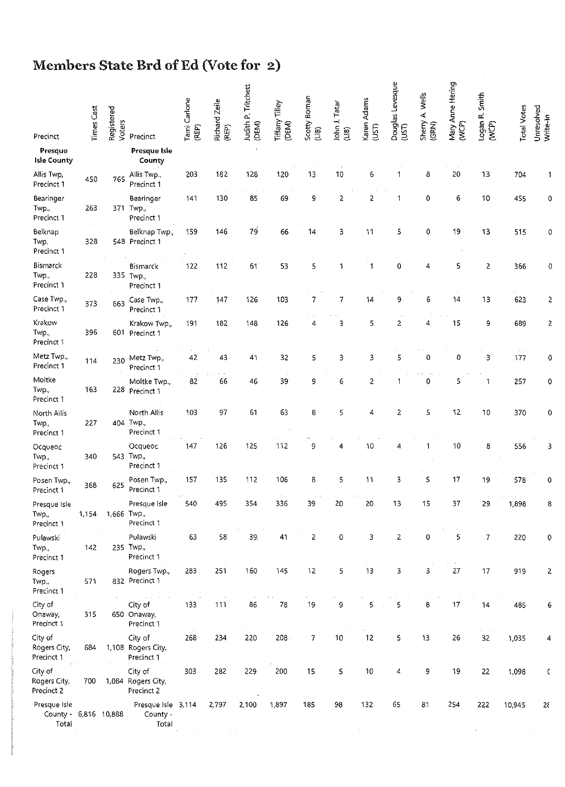## **Members State Brd of Ed (Vote for** 2)

| Precinct                                       | Times Cast | Registered<br>Voters | Precinct                                    | Tami Carlone<br>(REP) | Richard Zeile<br>(REP) | Judith P. Tritchett<br>(DEM) | Tiffany Tilley<br>(DEM) | Scotty Boman<br>(118)          | John J. Tatar<br>(11B) | Karen Adams<br><b>ESD</b> | Douglas Levesque<br>(UST) | A Wells<br>Sherry<br>(GRN) | Mary Anne Hering<br>(WCP) | Logan R. Smith<br>(WCP) | <b>Total Votes</b> | Unresolved<br>Write-In |
|------------------------------------------------|------------|----------------------|---------------------------------------------|-----------------------|------------------------|------------------------------|-------------------------|--------------------------------|------------------------|---------------------------|---------------------------|----------------------------|---------------------------|-------------------------|--------------------|------------------------|
| Presque<br><b>Isle County</b>                  |            |                      | Presque Isle<br>County                      |                       |                        |                              |                         |                                |                        |                           |                           |                            |                           |                         |                    |                        |
| Allis Twp,<br>Precinct 1                       | 450        | 765                  | Allis Twp.,<br>Precinct 1                   | 203                   | 182                    | 128                          | 120                     | 13                             | 10                     | 6                         | 1                         | 8                          | 20                        | 13                      | 704                |                        |
| Bearinger<br>Twp.<br>Precinct 1                | 263        |                      | Bearinger<br>371 Twp.,<br>Precinct 1        | 141                   | 130                    | 85                           | 69                      | 9                              | 2                      | 2                         |                           | 0                          | 6                         | 10                      | 455                |                        |
| Belknap<br>Twp.<br>Precinct 1                  | 328        |                      | Belknap Twp.,<br>548 Precinct 1             | 159                   | 146                    | 79                           | 66                      | 14                             | 3                      | 11                        | 5                         | 0                          | 19                        | 13                      | 515                |                        |
| Bismarck<br>Twp.<br>Precinct 1                 | 228        |                      | Bismarck<br>335 Twp.,<br>Precinct 1         | 122                   | 112                    | 61 <sup>2</sup>              | 53                      | 5                              | 1                      | $\mathbf{1}$              | 0                         | Δ                          | 5                         | 2                       | 366                | 0                      |
| Case Twp.,<br>Precinct 1                       | 373        | 663                  | Case Twp.,<br>Precinct 1                    | 177                   | 147                    | 126                          | 103                     | 7                              | 7                      | 14                        | 9                         | 6                          | 14                        | 13                      | 623                | 2                      |
| Krakow<br>Twp.,<br>Precinct 1                  | 396        |                      | Krakow Twp.,<br>601 Precinct 1              | 191                   | 182                    | 148                          | 126                     | 4                              | 3                      | 5                         | 2                         | 4                          | 15                        | 9                       | 689                | 2                      |
| Metz Twp.,<br>Precinct 1                       | 114        | 230                  | Metz Twp.,<br>Precinct 1                    | 42                    | 43                     | 41                           | 32                      | 5                              | 3                      | 3                         | 5                         | 0                          | 0                         | 3                       | 177                | 0                      |
| Moltke<br>Twp.,<br>Precinct 1                  | 163        |                      | Moltke Twp.,<br>228 Precinct 1              | 82                    | 66                     | 46                           | 39                      | 9                              | 6                      | $\overline{2}$            | -1                        | 0                          | 5                         | 1                       | 257                | 0                      |
| North Allis<br>Twp.,<br>Precinct 1             | 227        |                      | North Allis<br>404 Twp.,<br>Precinct 1      | 103                   | 97                     | 61                           | 63                      | 8                              | 5                      | 4                         | 2                         | 5                          | 12                        | 10                      | 370                | Ω                      |
| Ocqueoc<br>Twp.,<br>Precinct 1                 | 340        |                      | Ocqueoc<br>543 Twp.,<br>Precinct 1          | 147                   | 126                    | 125                          | 112                     | 9                              | 4                      | 10                        | 4                         | 1                          | 10                        | 8                       | 556                | 3                      |
| Posen Twp.,<br>Precinct 1                      | 368        | 625                  | Posen Twp.,<br>Precinct 1                   | 157                   | 135                    | 112                          | 106                     | 8                              | 5                      | 11                        | 3                         | 5                          | 17                        | 19                      | 578                | Ω                      |
| Presque Isle<br>Twp.,<br>Precinct 1            | 1.154      |                      | Presque Isle<br>1,666 Twp.,<br>Precinct 1   | 540                   | 495                    | 354                          | 336                     | 39                             | 20                     | 20                        | 13                        | 15                         | 37                        | 29                      | 1,898              | 8                      |
| Pulawski<br>Twp.,<br>Precinct 1                | 142        |                      | Pulawski<br>235 Twp.,<br>Precinct 1         | 63                    | 58                     | 39.                          | 41                      | 2                              | 0                      | 3                         | $\overline{c}$            | 0                          | 5                         | 7                       | 220                | 0                      |
| Rogers<br>Twp.,<br>Precinct 1                  | 571        |                      | Rogers Twp.,<br>832 Precinct 1              | 283                   | 251                    | 160                          | 145                     | 12                             | 5                      | 13                        | 3                         | 3                          | 27                        | $17\,$                  | 919                | 2                      |
| City of<br>Onaway,<br>Precinct 1               | 315        |                      | City of<br>650 Onaway,<br>Precinct 1        | 133                   | 111                    | 86                           | 78                      | $\overline{19}$                | 9                      | 5                         | 5                         | 8                          | 17                        | 14                      | 485                | 6                      |
| City of<br>Rogers City,<br>Precinct 1          | 684        |                      | City of<br>1,108 Rogers City<br>Precinct 1  | 268                   | 234                    | 220                          | 208                     | 7                              | 10                     | 12                        | 5                         | 13                         | 26                        | 32                      | 1,035              | 4                      |
| City of<br>Rogers City,<br>Precinct 2          | 700        |                      | City of<br>1,084 Rogers City,<br>Precinct 2 | 303                   | 282                    | 229                          | 200                     | 15                             | 5                      | 10                        | 4                         | 9                          | 19                        | 22                      | 1,098              | C                      |
| Presque Isle<br>County - 6,816 10,888<br>Total |            |                      | Presque Isle 3.114<br>County -<br>Total     |                       | 2,797                  | 2,100                        | 1,897                   | $\alpha$ , and $\alpha$<br>185 | 98                     | 132                       | 65                        | 81                         | 254                       | 222                     | 10,945             | $2\epsilon$            |

 $\mathcal{L}^{\mathcal{L}}$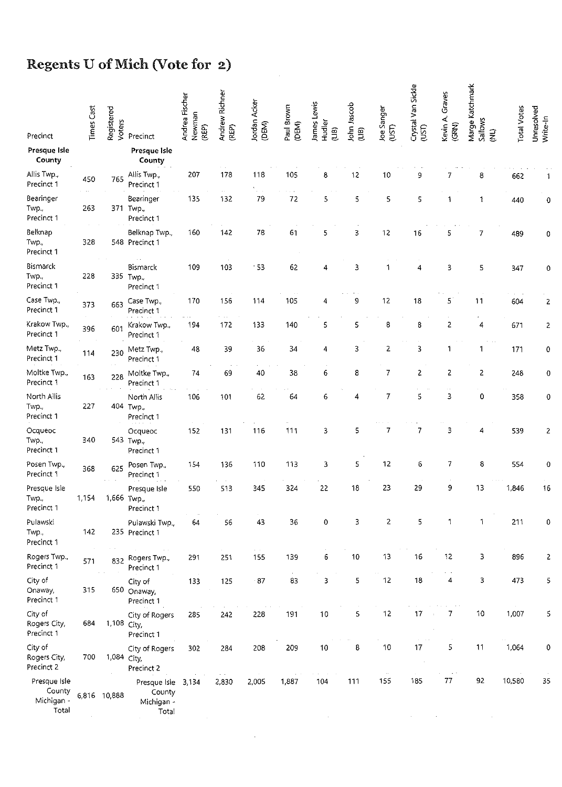## **Regents U of Mich (Vote for 2.)**

| Precinct                                      | Times Cast | Registered<br>Voters | Precinct                                            | Andrea Fischer<br>Newman<br>(REP) | Andrew Richner<br>(REP) | Jordan Acker<br>(DEM)      | Paul Brown<br>(DEM) | James Lewis<br>Hudler<br>(LIB) | John Jascob<br>(118) | Joe Sanger<br>$\overline{5}$ | Crystal Van Sickle<br>(UST) | Kevin A. Graves<br>(GRN) | Marge Katchmark<br>Sallows<br>$\overline{z}$ | <b>Total Votes</b> | Unresolved<br>Write-In |
|-----------------------------------------------|------------|----------------------|-----------------------------------------------------|-----------------------------------|-------------------------|----------------------------|---------------------|--------------------------------|----------------------|------------------------------|-----------------------------|--------------------------|----------------------------------------------|--------------------|------------------------|
| Presque Isle<br>County                        |            |                      | Presque Isle<br>County                              |                                   |                         |                            |                     |                                |                      |                              |                             |                          |                                              |                    |                        |
| Allis Twp.,<br>Precinct 1                     | 450        | 765                  | Allis Twp.,<br>Precinct 1                           | 207                               | 178                     | 118                        | 105                 | 8                              | 12                   | 10                           | 9                           | 7                        | 8                                            | 662                |                        |
| Bearinger<br>Twp.<br>Precinct 1               | 263        |                      | Bearinger<br>371 Twp.,<br>Precinct 1                | 135                               | 132                     | 79                         | 72                  | 5                              | 5                    | 5                            | 5                           | 1                        | 1                                            | 440                | 0                      |
| Belknap<br>Twp.<br>Precinct 1                 | 328        |                      | Belknap Twp.,<br>548 Precinct 1                     | 160                               | 142                     | 78                         | 61                  | 5                              | 3                    | 12                           | 16                          | 5                        | 7                                            | 489                | 0                      |
| Bismarck<br>Twp.<br>Precinct 1                | 228        |                      | Bismarck<br>335 Twp.<br>Precinct 1                  | 109                               | 103                     | $-53$                      | 62                  | 4                              | 3                    | 1                            | 4                           | 3                        | 5                                            | 347                | 0                      |
| Case Twp.<br>Precinct 1                       | 373        | 663                  | Case Twp.,<br>Precinct 1                            | 170                               | 156                     | 114                        | 105                 | 4                              | 9                    | 12                           | 18                          | 5                        | 11                                           | 604                | 2                      |
| Krakow Twp.,<br>Precinct 1                    | 396        | 601                  | Krakow Twp.,<br>Precinct 1                          | 194                               | 172                     | 133                        | 140                 | 5                              | 5                    | 8                            | 8                           | $\mathsf{2}$             | 4                                            | 671                | 2                      |
| Metz Twp.,<br>Precinct 1                      | 114        | 230                  | Metz Twp.,<br>Precinct 1                            | 48                                | 39                      | 36                         | 34                  | 4                              | 3                    | 2                            | 3                           | 1                        | 1                                            | 171                | 0                      |
| Moltke Twp.,<br>Precinct 1                    | 163        | 228                  | Moltke Twp.,<br>Precinct 1                          | 74                                | 69                      | 40                         | 38                  | 6                              | 8                    | 7                            | 2                           | 2                        | $\overline{c}$                               | 248                | 0                      |
| North Allis<br>Twp.,<br>Precinct 1            | 227        |                      | North Allis<br>404 Twp.,<br>Precinct 1              | 106                               | 101                     | 62                         | 64                  | 6                              | 4                    | 7                            | 5                           | 3                        | 0                                            | 358                | 0                      |
| Ocqueoc<br>Twp.,<br>Precinct 1                | 340        |                      | Ocqueoc<br>543 Twp.,<br>Precinct 1                  | 152                               | 131                     | 116                        | 111                 | 3                              | 5                    | 7                            | 7                           | 3                        | 4                                            | 539                | 2                      |
| Posen Twp.,<br>Precinct 1                     | 368        | 625                  | Posen Twp.,<br>Precinct 1                           | 154                               | 136                     | 110                        | 113                 | 3                              | 5                    | 12                           | 6                           | 7                        | 8                                            | 554                | 0                      |
| Presque Isle<br>Twp.,<br>Precinct 1           | 1,154      | 1,666 Twp.,          | Presque Isle<br>Precinct 1                          | 550                               | 513                     | 345                        | 324                 | 22                             | 18                   | 23                           | 29                          | 9                        | 13                                           | 1.846              | 16                     |
| Pulawski<br>Twp.,<br>Precinct 1               | 142        |                      | Pulawski Twp.,<br>235 Precinct 1                    | 64                                | 56                      | 43                         | 36                  | $\mathbf 0$                    | 3                    | $\overline{\mathbf{c}}$      | 5                           | 1                        | 1.                                           | 211                | 0                      |
| Rogers Twp.,<br>Precinct 1                    | 571        | 832                  | Rogers Twp.,<br>Precinct 1                          | 291                               | 251                     | $\alpha = \alpha$ .<br>155 | 139                 | 6                              | 10                   | 13                           | 16                          | 12                       | 3                                            | 896                | 2                      |
| City of<br>Onaway,<br>Precinct 1              | 315        |                      | City of<br>650 Onaway,<br>Precinct 1                | 133                               | 125                     | 87                         | 83                  | 3                              | 5                    | 12                           | 18                          | 4                        | 3                                            | 473                | 5                      |
| City of<br>Rogers City,<br>Precinct 1         | 684        | 1.108 City,          | City of Rogers<br>Precinct 1                        | 285                               | 242                     | 228                        | 191                 | $10\,$                         | 5                    | 12                           | 17                          | 7                        | 10                                           | 1,007              | 5                      |
| City of<br>Rogers City,<br>Precinct 2         | 700        | 1.084 City,          | City of Rogers<br>Precinct 2                        | 302                               | 284                     | 208                        | 209                 | $10\,$                         | 8                    | 10                           | 17                          | 5                        | 11                                           | 1.064              | 0                      |
| Presque Isle<br>County<br>Michigan -<br>Total |            | 6,816 10,888         | Presque Isle 3.134<br>County<br>Michigan -<br>Total |                                   | 2,830                   | 2,005                      | 1,887               | 104                            | 111                  | $\sim$<br>155                | 185                         | 77                       | 92                                           | 10,580             | 35                     |

 $\mathcal{L}^{\text{max}}_{\text{max}}$  and  $\mathcal{L}^{\text{max}}_{\text{max}}$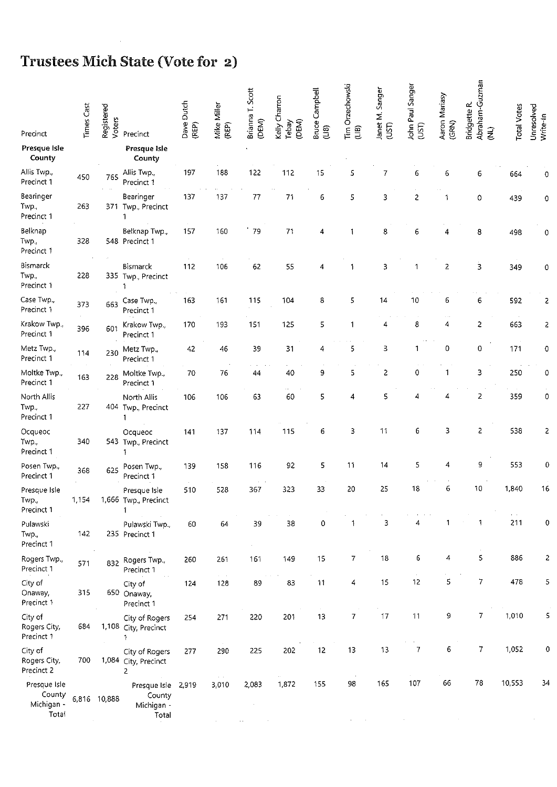## **Trustees Mich State (Vote for** 2)

| Precinct                                      | <b>Times Cast</b> | Registered<br>Voters | Precinct                                            | Dave Dutch<br>(REP) | Mike Miller<br>REP      | Brianna T. Scott<br>(DEM) | Kelly Charron<br>(DEM)<br>Tebay | Campbell<br>Bruce<br>(18) | Tím Orzechowski<br>(LIB) | Janet M. Sanger<br>(UST) | John Paul Sanger<br>(UST) | Aaron Mariasy<br>(GRN) | Abraham-Guzman<br>Bridgette R<br>$\overline{z}$ | <b>Total Votes</b> | Unresolved<br>Write-In |
|-----------------------------------------------|-------------------|----------------------|-----------------------------------------------------|---------------------|-------------------------|---------------------------|---------------------------------|---------------------------|--------------------------|--------------------------|---------------------------|------------------------|-------------------------------------------------|--------------------|------------------------|
| Presque Isle<br>County                        |                   |                      | Presque Isle<br>County                              |                     |                         |                           |                                 |                           |                          |                          |                           |                        |                                                 |                    |                        |
| Allis Twp.<br>Precinct 1                      | 450               | 765                  | Allis Twp.,<br>Precinct 1                           | 197                 | 188                     | 122                       | 112                             | 15                        | 5                        | 7                        | 6                         | 6                      | 6                                               | 664                | 0                      |
| Bearinger<br>Twp.,<br>Precinct 1              | 263               | 371                  | Bearinger<br>Twp., Precinct<br>1                    | 137                 | 137                     | 77                        | 71                              | 6                         | 5                        | 3                        | $\mathbf{2}$              | $\mathbf{1}$           | 0                                               | 439                | 0                      |
| Belknap<br>Twp.,<br>Precinct 1                | 328               |                      | Belknap Twp.,<br>548 Precinct 1                     | 157                 | 160                     | 79                        | 71                              | 4                         | 1                        | 8                        | 6                         | 4                      | 8                                               | 498                | 0                      |
| Bismarck<br>Twp.,<br>Precinct 1               | 228               |                      | Bismarck<br>335 Twp., Precinct                      | 112                 | 106                     | 62                        | 55                              | 4                         | 1                        | 3                        | 1                         | $\overline{2}$         | $\overline{\mathbf{3}}$                         | 349                | 0                      |
| Case Twp.,<br>Precinct 1                      | 373               | 663                  | Case Twp.,<br>Precinct 1                            | 163                 | 161                     | 115                       | 104                             | 8                         | 5                        | 14                       | 10                        | 6                      | 6                                               | 592                | 2                      |
| Krakow Twp.,<br>Precinct 1                    | 396               | 601                  | Krakow Twp.,<br>Precinct 1                          | 170                 | 193                     | 151                       | 125                             | 5                         | 1                        | 4                        | 8                         | 4                      | $\overline{c}$                                  | 663                | 2                      |
| Metz Twp.,<br>Precinct 1                      | 114               | 230                  | Metz Twp.,<br>Precinct 1                            | 42                  | 46                      | 39                        | 31                              | 4                         | 5                        | 3                        | 1                         | 0                      | 0                                               | 171                | 0                      |
| Moltke Twp.,<br>Precinct 1                    | 163               | 228                  | Moltke Twp.,<br>Precinct 1                          | 70                  | 76                      | 44                        | 40                              | 9                         | 5                        | 2                        | 0                         | 1                      | з                                               | 250                | 0                      |
| North Allis<br>Twp.,<br>Precinct 1            | 227               | 404                  | North Ailis<br>Twp., Precinct<br>1                  | 106                 | 106                     | 63                        | 60                              | 5                         | 4                        | 5                        | 4                         | 4                      | 2                                               | 359                | 0                      |
| Ocqueoc<br>Twp.,<br>Precinct 1                | 340               |                      | Ocqueoc<br>543 Twp., Precinct<br>1                  | 141                 | 137                     | 114                       | 115                             | 6                         | 3                        | 11                       | 6                         | 3                      | 2                                               | 538                | 2                      |
| Posen Twp.,<br>Precinct 1                     | 363               | 625                  | Posen Twp.,<br>Precinct 1                           | 139                 | 158                     | 116                       | 92                              | 5                         | 11                       | 14                       | 5                         | 4                      | 9                                               | 553                | 0                      |
| Presque Isle<br>Twp.,<br>Precinct 1           | 1,154             |                      | Presque Isle<br>1,666 Twp., Precinct<br>1           | 510                 | 528                     | 367                       | 323                             | 33                        | 20                       | 25                       | 18                        | 6                      | 10                                              | 1,840              | 16                     |
| Pulawski<br>Twp.,<br>Precinct 1               | 142               |                      | Puławski Twp.,<br>235 Precinct 1                    | 60                  | 64                      | 39                        | 38                              | 0                         |                          | 3                        | 4                         | 1                      | 1                                               | 211                | 0                      |
| Rogers Twp.,<br>Precinct 1                    | 571               | 832                  | Rogers Twp.,<br>Precinct 1                          | 260                 | 261                     | 161                       | 149                             | 15                        | 7                        | 18                       | 6                         | 4                      | 5                                               | 886                | 2                      |
| City of<br>Onaway,<br>Precinct 1              | 315               |                      | City of<br>650 Onaway,<br>Precinct 1                | 124                 | $\epsilon = 0.1$<br>128 | 89                        | 83                              | 11                        | 4                        | 15                       | 12                        | 5                      | 7                                               | 478                | 5                      |
| City of<br>Rogers City,<br>Precinct 1         | 684               |                      | City of Rogers<br>1,108 City, Precinct<br>1         | 254                 | 271                     | 220                       | 201                             | 13                        | 7                        | $17$                     | 11                        | 9                      | 7                                               | 1,010              | s                      |
| City of<br>Rogers City,<br>Precinct 2         | 700               |                      | City of Rogers<br>1,084 City, Precinct<br>2         | 277                 | 290                     | 225                       | 202                             | 12                        | 13                       | 13                       | 7                         | 6                      | 7                                               | 1,052              | 0                      |
| Presque Isle<br>County<br>Michigan -<br>Total |                   | 6,816 10,888         | Presque Isle 2,919<br>County<br>Michigan -<br>Total |                     | 3,010                   | 2,083                     | 1.872                           | 155                       | 98                       | 165                      | 107                       | 66                     | 78                                              | 10,553             | 34                     |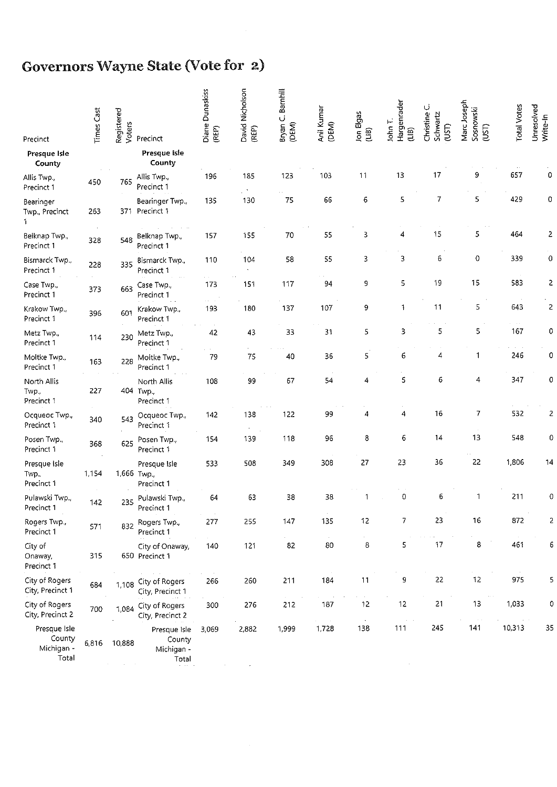#### **Governors Wayne State (Vote for** 2)

| Precinct                                      | <b>Times Cast</b> | Registered<br>Voters | Precinct                                      | Diane Dunaskiss<br>(REP) | David Nicholson<br>(REP) | Bryan C. Barnhill<br>(DEM) | Anil Kumar<br>(DEM) | Jon Elgas<br>(18) | Hargenrader<br>John T.<br>(118) | Christine <sub>C</sub><br>Schwartz<br>(UST) | Marc Joseph<br>Sosnowski<br>(UST) | <b>Total Votes</b>      | Unresolved<br>Write-In |
|-----------------------------------------------|-------------------|----------------------|-----------------------------------------------|--------------------------|--------------------------|----------------------------|---------------------|-------------------|---------------------------------|---------------------------------------------|-----------------------------------|-------------------------|------------------------|
| Presque Isle<br>County                        |                   |                      | Presque Isle<br>County                        |                          |                          |                            |                     |                   |                                 |                                             |                                   |                         |                        |
| Allis Twp.,<br>Precinct 1                     | 450               | 765                  | Allis Twp.,<br>Precinct 1                     | 196                      | 185                      | 123                        | 103                 | 11                | 13                              | 17                                          | 9                                 | 657                     | 0                      |
| Bearinger<br>Twp., Precinct<br>1              | 263               |                      | Bearinger Twp.,<br>371 Precinct 1             | 135                      | 130                      | 75                         | 66                  | 6                 | 5                               | 7                                           | 5                                 | 429                     | 0                      |
| Belknap Twp.,<br>Precinct 1                   | 328               | 548                  | Belknap Twp.,<br>Precinct 1                   | 157                      | 155                      | 70                         | 55                  | З                 | 4                               | 15                                          | 5                                 | 464                     | 2                      |
| Bismarck Twp.,<br>Precinct 1                  | 228               | 335                  | Bismarck Twp.,<br>Precinct 1                  | 110                      | 104                      | 58                         | 55                  | 3                 | 3                               | 6                                           | 0                                 | 339                     | 0                      |
| Case Twp.,<br>Precinct 1                      | 373               | 663                  | Case Twp.<br>Precinct 1                       | 173<br>a a ca            | 151                      | 117                        | 94                  | 9                 | 5                               | 19                                          | 15                                | 583                     | 2                      |
| Krakow Twp.,<br>Precinct 1                    | 396               | 601                  | Krakow Twp.,<br>Precinct 1                    | 193                      | 180                      | 137                        | 107                 | 9                 | 1                               | 11                                          | 5                                 | 643<br>$\sim$ 100 $\pm$ | 2                      |
| Metz Twp.,<br>Precinct 1                      | 114               | 230                  | Metz Twp.,<br>Precinct 1                      | 42                       | 43                       | 33                         | 31                  | 5                 | 3                               | 5                                           | 5                                 | 167                     | 0                      |
| Moltke Twp.,<br>Precinct 1                    | 163               | 228                  | Moltke Twp.,<br>Precinct 1                    | 79                       | 75                       | 40                         | 36                  | 5                 | 6                               | 4                                           | 1                                 | 246                     | 0                      |
| North Allis<br>Twp.,<br>Precinct 1            | 227               |                      | North Allis<br>404 Twp.<br>Precinct 1         | 108                      | 99                       | 67                         | 54                  | 4                 | 5                               | 6                                           | 4                                 | 347                     |                        |
| Ocqueoc Twp.,<br>Precinct 1                   | 340               | 543                  | Ocqueoc Twp.,<br>Precinct 1                   | 142                      | 138                      | 122                        | 99                  | 4                 | 4                               | 16                                          | 7                                 | 532                     | 2                      |
| Posen Twp.,<br>Precinct 1                     | 368               | 625                  | Posen Twp.,<br>Precinct 1                     | 154                      | 139                      | 118                        | 96                  | 8                 | 6                               | 14                                          | 13                                | 548                     | 0                      |
| Presque Isle<br>Twp.,<br>Precinct 1           | 1,154             |                      | Presque Isle<br>1,666 Twp.<br>Precinct 1      | 533                      | 508                      | 349                        | 308                 | 27                | 23                              | 36                                          | 22                                | 1,806                   | 14                     |
| Pulawski Twp.,<br>Precinct 1                  | 142               | 235                  | Pulawski Twp.,<br>Precinct 1                  | 64                       | 63                       | 38                         | 38                  |                   | 0                               | 6                                           | 1                                 | 211                     | 0                      |
| Rogers Twp.,<br>Precinct 1                    | 571               | 832                  | Rogers Twp.,<br>Precinct 1                    | $\sim$<br>277            | 255                      | 147                        | 135                 | $12\,$            | 7                               | 23                                          | 16                                | 872                     | 2                      |
| City of<br>Onaway,<br>Precinct 1              | 315               |                      | City of Onaway,<br>650 Precinct 1             | 140                      | 121                      | 82                         | $_{\rm 30}$         | 8                 | 5                               | 17                                          | 8                                 | 461                     | 6                      |
| City of Rogers<br>City, Precinct 1            | 684               | 1,108                | City of Rogers<br>City, Precinct 1            | 266                      | 260                      | 211                        | 184                 | 11                | 9                               | 22                                          | $12\,$                            | 975                     | 5                      |
| City of Rogers<br>City, Precinct 2            | 700               | 1,084                | City of Rogers<br>City, Precinct 2            | 300                      | 276                      | 212                        | 187                 | $\sim$<br>12      | $12\,$                          | 21                                          | 13                                | 1,033                   | 0                      |
| Presque Isle<br>County<br>Michigan -<br>Total | 6,816             | 10,888               | Presque Isle<br>County<br>Michigan -<br>Total | 3.069                    | 2,882                    | 1.999                      | 1,728               | $\lambda$<br>138  | 111                             | 245                                         | 141                               | 10,313                  | 35                     |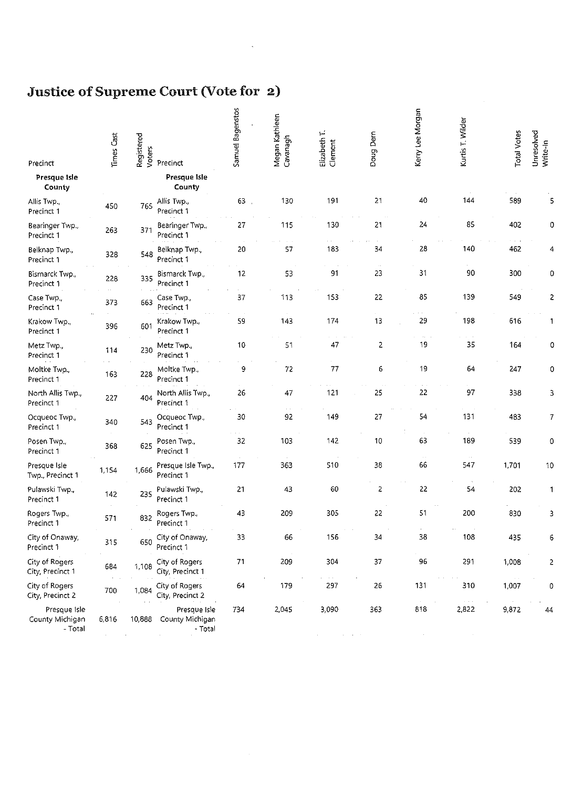#### **Justice of Supreme Court (Vote for 2)**

| Precinct                                   | <b>Times</b> Cast | Registered<br>Voters | Precinct                                   | Samuel Bagenstos | Megan Kathleen<br>Cavanagh | Elizabeth T.<br>Clement                | Doug Dern               | Keny Lee Morgan     | Kurtis T. Wilder     | <b>Total Votes</b>     | Unresolved<br>Write-In |
|--------------------------------------------|-------------------|----------------------|--------------------------------------------|------------------|----------------------------|----------------------------------------|-------------------------|---------------------|----------------------|------------------------|------------------------|
| Presque Isle<br>County                     |                   |                      | Presque Isle<br>County                     |                  |                            |                                        |                         |                     |                      |                        |                        |
| Allis Twp.,<br>Precinct 1                  | 450               | 765                  | Allis Twp.,<br>Precinct 1                  | 63.              | 130                        | 191                                    | 21                      | 40                  | 144                  | 589                    | 5                      |
| Bearinger Twp.,<br>Precinct 1              | 263               | 371                  | Bearinger Twp.,<br>Precinct 1              | 27               | 115                        | 130                                    | 21                      | 24                  | 85                   | 402                    | 0                      |
| Belknap Twp.,<br>Precinct 1                | 328               | 548                  | Belknap Twp.,<br>Precinct 1                | 20               | 57                         | 183                                    | 34<br>$\sim$            | 28                  | 140                  | 462                    | 4                      |
| Bismarck Twp.,<br>Precinct 1               | 228               | 335                  | Bismarck Twp.,<br>Precinct 1               | 12               | 53                         | 91                                     | 23                      | 31                  | 90                   | 300                    | 0                      |
| Case Twp.,<br>Precinct 1                   | 373               | 663                  | Case Twp.,<br>Precinct 1                   | 37               | 113                        | 153                                    | 22                      | 85                  | 139                  | 549                    | 2                      |
| Krakow Twp.,<br>Precinct 1                 | 396               | 601                  | Krakow Twp.,<br>Precinct 1                 | 59               | 143                        | 174                                    | 13                      | 29                  | 198                  | 616                    | 1                      |
| Metz Twp.,<br>Precinct 1                   | 114               | 230                  | Metz Twp.,<br>Precinct 1                   | 10               | 51                         | 47<br>$\epsilon$                       | 2                       | 19                  | 35                   | 164                    | 0                      |
| Moltke Twp.,<br>Precinct 1                 | 163               | 228                  | Moltke Twp.,<br>Precinct 1                 | 9                | 72                         | 77                                     | 6                       | 19                  | 64                   | 247                    | 0                      |
| North Allis Twp.,<br>Precinct 1            | 227               | 404                  | North Allis Twp.,<br>Precinct 1            | 26               | 47                         | 121                                    | 25                      | 22                  | 97                   | 338                    | 3                      |
| Ocqueoc Twp.,<br>Precinct 1                | 340               | 543                  | Ocqueoc Twp.,<br>Precinct 1                | 30               | 92                         | 149                                    | 27                      | 54<br>$\sim$        | 131                  | 483                    | $\boldsymbol{7}$       |
| Posen Twp.,<br>Precinct 1                  | 368               | 625                  | Posen Twp.,<br>Precinct 1                  | 32               | 103                        | 142                                    | $10$                    | 63<br>$\sim$ $\sim$ | 189<br>$\sim$ $\sim$ | 539                    | 0                      |
| Presque Isle<br>Twp., Precinct 1           | 1,154             | 1,666                | Presque Isle Twp.,<br>Precinct 1           | 177              | 363                        | 510                                    | $38\,$                  | 66                  | 547                  | 1,701                  | $10$                   |
| Pulawski Twp.,<br>Precinct 1               | 142               | 235                  | Pulawski Twp.,<br>Precinct 1               | 21               | 43                         | 60                                     | $\overline{\mathbf{c}}$ | 22                  | 54                   | 202                    | 1                      |
| Rogers Twp.,<br>Precinct 1                 | 571               | 832                  | Rogers Twp.,<br>Precinct 1                 | 43               | 209                        | 305<br>$\epsilon \rightarrow \epsilon$ | 22                      | 51<br>$\epsilon$    | 200<br>$\sim$        | 830                    | 3                      |
| City of Onaway,<br>Precinct 1              | 315               | 650                  | City of Onaway,<br>Precinct 1              | 33               | 66                         | 156                                    | 34                      | 38                  | 108                  | 435                    | 6                      |
| City of Rogers<br>City, Precinct 1         | 684               | 1,108                | City of Rogers<br>City, Precinct 1         | 71               | 209                        | 304                                    | 37                      | 96                  | 291                  | 1,008                  | 2                      |
| City of Rogers<br>City, Precinct 2         | 700               | 1,084                | City of Rogers<br>City, Precinct 2         | 64               | 179                        | $\alpha = 0$ .<br>297                  | 26                      | 131                 | 310                  | $\sim$ $\sim$<br>1,007 | 0                      |
| Presque Isle<br>County Michigan<br>- Total | 6,816             | 10,888               | Presque Isle<br>County Michigan<br>- Total | 734              | 2,045                      | 3,090                                  | 363                     | 818                 | 2,822                | 9,872                  | 44                     |

 $\ddot{\phantom{a}}$ 

 $\hat{\mathcal{A}}$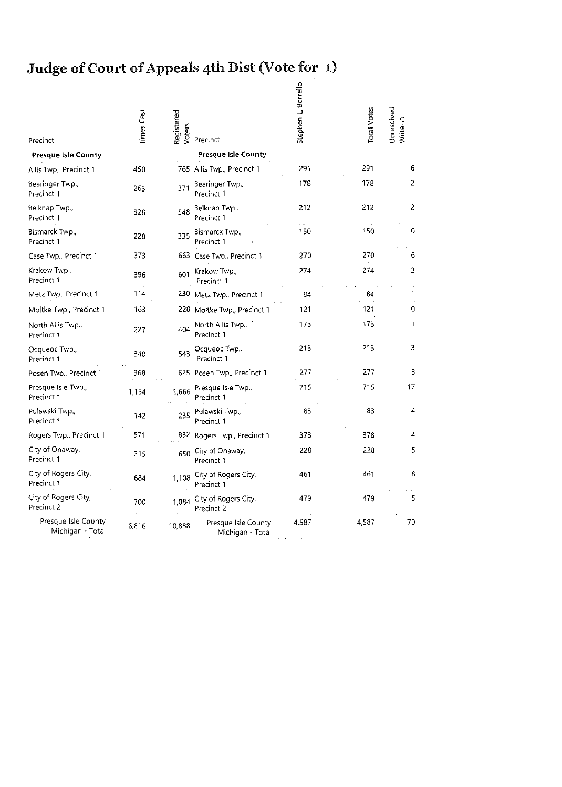# **Judge of Court of Appeals 4th Dist (Vote for 1)**

| Precinct                                | Times Cast | Registered<br>Voters | Precinct                                | Stephen L. Borrello | <b>Total Votes</b> | Unresolved<br>Write-In |
|-----------------------------------------|------------|----------------------|-----------------------------------------|---------------------|--------------------|------------------------|
| Presque Isle County                     |            |                      | <b>Presque Isle County</b>              |                     |                    |                        |
| Allis Twp., Precinct 1                  | 450        |                      | 765 Allis Twp., Precinct 1              | 291                 | 291                | 6                      |
| Bearinger Twp.<br>Precinct 1            | 263        | 371                  | Bearinger Twp.,<br>Precinct 1           | 178                 | 178                | 2                      |
| Belknap Twp.,<br>Precinct 1             | 328        | 548                  | Beiknap Twp.,<br>Precinct 1             | 212                 | 212                | 2                      |
| Bismarck Twp.<br>Precinct 1             | 228        | 335                  | Bismarck Twp.,<br>Precinct 1            | 150                 | 150                | 0                      |
| Case Twp., Precinct 1                   | 373        |                      | 663 Case Twp., Precinct 1               | 270                 | 270                | 6                      |
| Krakow Twp.,<br>Precinct 1              | 396        | 601                  | Krakow Twp.,<br>Precinct 1              | 274                 | 274                | 3                      |
| Metz Twp., Precinct 1                   | 114        |                      | 230 Metz Twp., Precinct 1               | 84                  | 84                 | 1                      |
| Moltke Twp., Precinct 1                 | 163        |                      | 228 Moltke Twp., Precinct 1             | 121                 | 121                | 0                      |
| North Allis Twp.,<br>Precinct 1         | 227        | 404                  | North Allis Twp.,<br>Precinct 1         | 173                 | 173                | 1                      |
| Ocqueoc Twp.<br>Precinct 1              | 340        | 543                  | Ocqueoc Twp.,<br>Precinct 1             | 213                 | 213                | 3                      |
| Posen Twp., Precinct 1                  | 368        |                      | 625 Posen Twp., Precinct 1              | 277                 | 277                | 3                      |
| Presque Isle Twp.,<br>Precinct 1        | 1,154      | 1,666                | Presque Isle Twp.,<br>Precinct 1        | 715                 | 715                | 17                     |
| Pulawski Twp.,<br>Precinct 1            | 142        | 235                  | Pulawski Twp.,<br>Precinct 1            | 83                  | 83                 | 4                      |
| Rogers Twp., Precinct 1                 | 571        |                      | 832 Rogers Twp., Precinct 1             | 378                 | 378                | 4                      |
| City of Onaway,<br>Precinct 1           | 315        | 650                  | City of Onaway,<br>Precinct 1           | 228                 | 228                | 5                      |
| City of Rogers City,<br>Precinct 1      | 684        | 1,108                | City of Rogers City,<br>Precinct 1      | 461                 | 461                | 8                      |
| City of Rogers City,<br>Precinct 2      | 700        | 1.084                | City of Rogers City,<br>Precinct 2      | 479                 | 479                | 5                      |
| Presque Isle County<br>Michigan - Total | 6,816      | 10,888               | Presque Isle County<br>Michigan - Total | 4.587               | 4,587              | 70                     |

 $\sim$  4  $^{\circ}$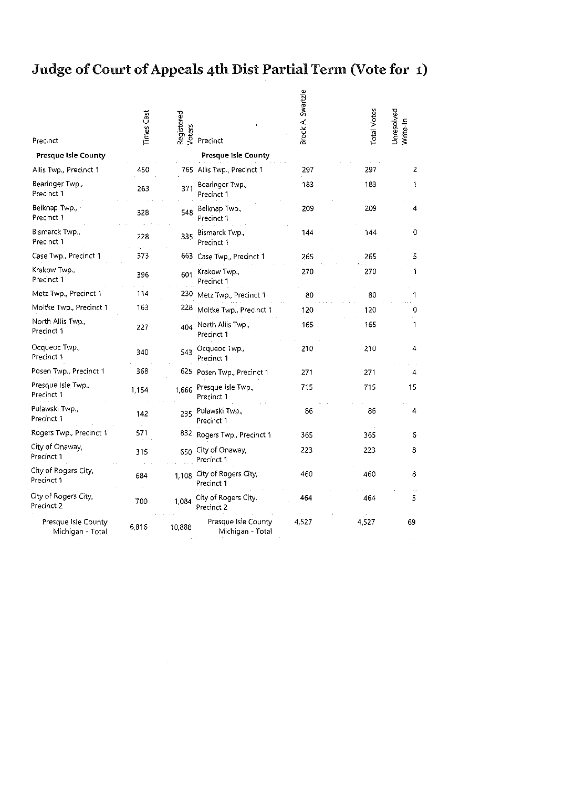#### **Judge of Court of Appeals 4th Dist Partial Term (Vote for** 1)

| Precinct                                | Times Cast | Registered<br>Voters | Precinct                                 | Brock A. Swartzle | Total Votes | Unresolved<br>Write-In |
|-----------------------------------------|------------|----------------------|------------------------------------------|-------------------|-------------|------------------------|
| Presque Isle County                     |            |                      | Presque Isle County                      |                   |             |                        |
| Allis Twp., Precinct 1                  | 450        |                      | 765 Allis Twp., Precinct 1               | 297               | 297         | 2                      |
| Bearinger Twp.,<br>Precinct 1           | 263        | 371                  | Bearinger Twp.,<br>Precinct 1            | 183               | 183         | 1                      |
| Belknap Twp., .<br>Precinct 1           | 328        | 548                  | Belknap Twp.<br>Precinct 1               | 209               | 209         | 4                      |
| Bismarck Twp.,<br>Precinct 1            | 228        | 335                  | Bismarck Twp.,<br>Precinct 1             | 144               | 144         | 0                      |
| Case Twp., Precinct 1                   | 373        |                      | 663 Case Twp., Precinct 1                | 265               | 265         | 5                      |
| Krakow Twp.,<br>Precinct 1              | 396        | 601                  | Krakow Twp.,<br>Precinct 1               | 270               | 270         | 1                      |
| Metz Twp., Precinct 1                   | 114        |                      | 230 Metz Twp., Precinct 1                | 80                | 80          | 1                      |
| Moltke Twp., Precinct 1                 | 163        | 228                  | Moltke Twp., Precinct 1                  | 120               | 120         | 0                      |
| North Allis Twp.,<br>Precinct 1         | 227        | 404                  | North Allis Twp.,<br>Precinct 1          | 165               | 165         | 1                      |
| Ocqueoc Twp.,<br>Precinct 1             | 340        | 543                  | Ocqueoc Twp.,<br>Precinct 1              | 210               | 210         | 4                      |
| Posen Twp., Precinct 1                  | 368        |                      | 625 Posen Twp., Precinct 1               | 271               | 271         | 4                      |
| Presque Isle Twp.,<br>Precinct 1        | 1,154      | 1.666                | Presque Isle Twp.,<br>Precinct 1         | 715               | 715         | 15                     |
| Pulawski Twp.,<br>Precinct 1            | 142        |                      | 235 Pulawski Twp.,<br>Precinct 1         | 86                | 86          | 4                      |
| Rogers Twp., Precinct 1                 | 571        |                      | 832 Rogers Twp., Precinct 1              | 365               | 365         | 6                      |
| City of Onaway,<br>Precinct 1           | 315        | 650                  | City of Onaway,<br>Precinct 1            | 223               | 223         | 8                      |
| City of Rogers City,<br>Precinct 1      | 684        |                      | 1,108 City of Rogers City,<br>Precinct 1 | 460               | 460         | 8                      |
| City of Rogers City,<br>Precinct 2      | 700        | 1.084                | City of Rogers City,<br>Precinct 2       | 464               | 464         | 5                      |
| Presque Isle County<br>Michigan - Total | 6,816      | 10,888               | Presque Isle County<br>Michigan - Total  | 4 527             | 4,527       | 69                     |

 $\label{eq:2.1} \frac{1}{\sqrt{2}}\int_{\mathbb{R}^3}\frac{1}{\sqrt{2}}\left(\frac{1}{\sqrt{2}}\right)^2\frac{1}{\sqrt{2}}\left(\frac{1}{\sqrt{2}}\right)^2\frac{1}{\sqrt{2}}\left(\frac{1}{\sqrt{2}}\right)^2\frac{1}{\sqrt{2}}\left(\frac{1}{\sqrt{2}}\right)^2.$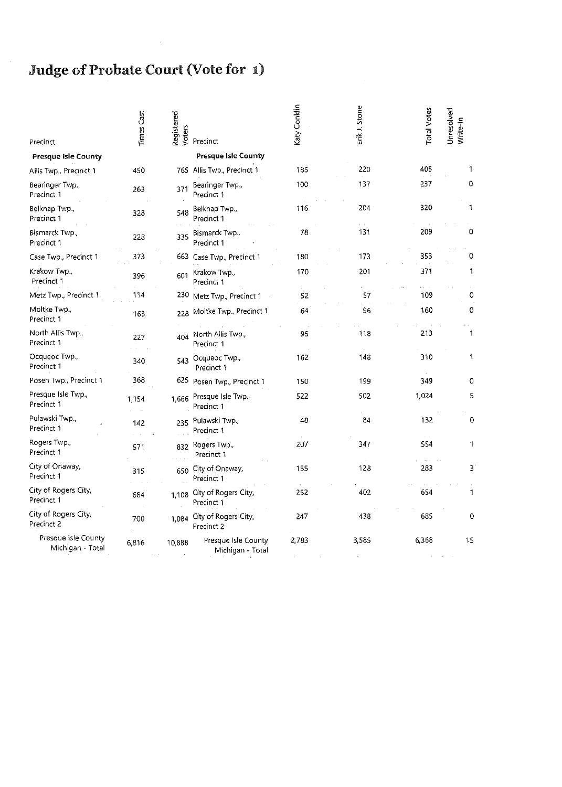# **Judge of Probate Court (Vote for** 1)

 $\frac{1}{\sqrt{2}}$ 

 $\sim$ 

| Precinct                                | Times Cast | Registered<br>Voters | Precinct                                 | Katy Conklin | Erik J. Stone | <b>Total Votes</b> | Unresolved<br>Write-In |
|-----------------------------------------|------------|----------------------|------------------------------------------|--------------|---------------|--------------------|------------------------|
| <b>Presque Isle County</b>              |            |                      | <b>Presque Isle County</b>               |              |               |                    |                        |
| Allis Twp., Precinct 1                  | 450        |                      | 765 Allis Twp., Precinct 1               | 185          | 220           | 405                | 1                      |
| Bearinger Twp.,<br>Precinct 1           | 263        | 371                  | Bearinger Twp.,<br>Precinct 1            | 100          | 137           | 237                | 0                      |
| Belknap Twp.,<br>Precinct 1             | 328        | 548                  | Belknap Twp.,<br>Precinct 1              | 116          | 204           | 320                | 1                      |
| Bismarck Twp.<br>Precinct 1             | 228        | 335                  | Bismarck Twp.<br>Precinct 1              | 78.          | 131           | 209                | 0                      |
| Case Twp., Precinct 1                   | 373        |                      | 663 Case Twp., Precinct 1                | 180          | 173           | 353                | 0                      |
| Krakow Twp.,<br>Precinct 1              | 396        | 601                  | Krakow Twp.,<br>Precinct 1               | 170          | 201           | 371                | 1                      |
| Metz Twp., Precinct 1                   | 114        |                      | 230 Metz Twp., Precinct 1                | 52           | 57            | 109                | 0                      |
| Moltke Twp.,<br>Precinct 1              | 163        | 228                  | Moltke Twp., Precinct 1                  | 64           | 96            | 160                | 0                      |
| North Allis Twp.,<br>Precinct 1         | 227        | 404                  | North Allis Twp.,<br>Precinct 1          | 95           | 118           | 213                | 1                      |
| Ocqueoc Twp.,<br>Precinct 1             | 340        |                      | 543 Ocqueoc Twp.,<br>Precinct 1          | 162          | 148           | 310                | 1                      |
| Posen Twp., Precinct 1                  | 368        |                      | 625 Posen Twp., Precinct 1               | 150          | 199           | 349                | 0                      |
| Presque Isle Twp.,<br>Precinct 1        | 1,154      | 1,666                | Presque Isle Twp.,<br>Precinct 1         | 522          | 502           | 1,024              | 5                      |
| Pulawski Twp.,<br>Precinct 1            | 142        |                      | 235 Pulawski Twp.,<br>Precinct 1         | 48           | 84            | 132                | 0                      |
| Rogers Twp.,<br>Precinct 1              | 571        | 832                  | Rogers Twp.,<br>Precinct 1               | 207          | 347           | 554                | 1                      |
| City of Onaway,<br>Precinct 1           | 315        | 650                  | City of Onaway,<br>Precinct 1            | 155          | 128           | 283                | З                      |
| City of Rogers City,<br>Precinct 1      | 684        |                      | 1,108 City of Rogers City,<br>Precinct 1 | 252          | 402           | 654                | 1                      |
| City of Rogers City,<br>Precinct 2      | 700        | 1.084                | City of Rogers City,<br>Precinct 2       | 247          | 438           | 635                | 0                      |
| Presque Isle County<br>Michigan - Total | 6,816      | 10,888               | Presque Isle County<br>Michigan - Total  | 2,783        | 3585          | 6,368              | 15                     |

 $\mathcal{A}^{\text{out}}$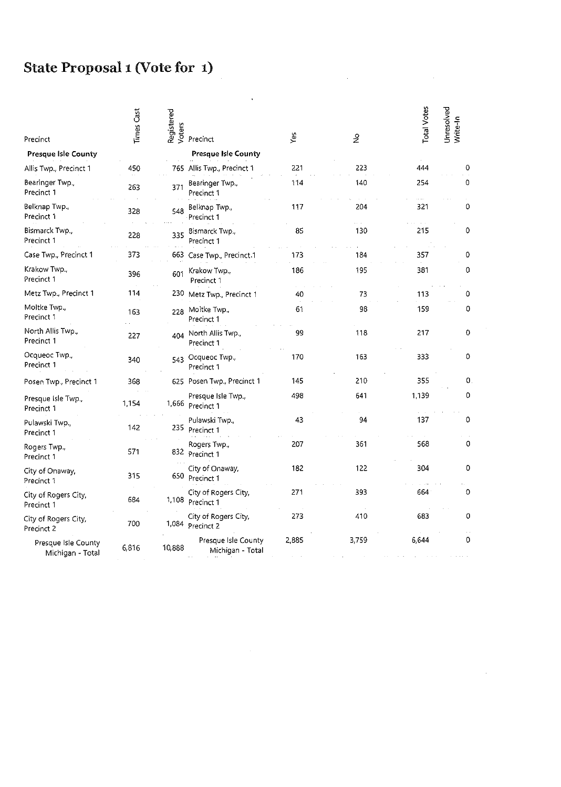#### **State Proposal 1 (Vote for 1)**

| Precinct                                | Times Cast |        | Pegistered<br>Veers<br>> Precinct        | γěς   | $\tilde{z}$ | <b>Total Votes</b> | Unresolved<br>Write-In |
|-----------------------------------------|------------|--------|------------------------------------------|-------|-------------|--------------------|------------------------|
| <b>Presque Isle County</b>              |            |        | <b>Presque Isle County</b>               |       |             |                    |                        |
| Allis Twp., Precinct 1                  | 450        |        | 765 Allis Twp., Precinct 1               | 221   | 223         | 444                | 0                      |
| Bearinger Twp.,<br>Precinct 1           | 263        | 371    | Bearinger Twp.,<br>Precinct 1            | 114   | 140         | 254                | 0                      |
| Belknap Twp<br>Precinct 1               | 328        | 548    | Belknap Twp.,<br>Precinct 1              | 117   | 204         | 321                | 0                      |
| Bismarck Twp.,<br>Precinct 1            | 228        | 335    | Bismarck Twp.,<br>Precinct 1             | 85    | 130         | 215                | 0                      |
| Case Twp., Precinct 1                   | 373        | 663.   | Case Twp., Precinct 1                    | 173   | 184         | 357                | 0                      |
| Krakow Twp.,<br>Precinct 1              | 396        | 601    | Krakow Twp.,<br>Precinct 1               | 136   | 195         | 381                | 0                      |
| Metz Twp., Precinct 1                   | 114        | 230    | Metz Twp., Precinct 1                    | 40    | 73          | 113                | 0                      |
| Moltke Twp.,<br>Precinct 1              | 163        | 228    | Moltke Twp.,<br>Precinct 1               | 61    | 98          | 159                | 0                      |
| North Allis Twp<br>Precinct 1           | 227        |        | 404 North Allis Twp.,<br>Precinct 1      | 99    | 118         | 217                | 0                      |
| Ocqueoc Twp.,<br>Precinct 1             | 340        |        | 543 Ocqueoc Twp.,<br>Precinct 1          | 170   | 163         | 333                | 0                      |
| Posen Twp., Precinct 1                  | 368        |        | 625 Posen Twp., Precinct 1               | 145   | 210         | 355                | 0.                     |
| Presque Isle Twp.,<br>Precinct 1        | 1.154      | 1,666  | Presque Isle Twp.,<br>Precinct 1         | 498   | 641         | 1139               | 0                      |
| Pulawski Twp.,<br>Precinct 1            | 142        | 235    | Pulawski Twp.,<br>Precinct 1             | 43    | 94          | 137                | 0                      |
| Rogers Twp.,<br>Precinct 1              | 571        |        | Rogers Twp.,<br>832 Precinct 1           | 207   | 361         | 568                | 0                      |
| City of Onaway,<br>Precinct 1           | 315        |        | City of Onaway.<br>650 Precinct 1        | 182   | 122         | 304                | 0                      |
| City of Rogers City,<br>Precinct 1      | 684        |        | City of Rogers City,<br>1,108 Precinct 1 | 271   | 393         | 664                | $\mathbf 0$            |
| City of Rogers City,<br>Precinct 2      | 700        |        | City of Rogers City,<br>1,084 Precinct 2 | 273   | 410         | 683                | 0                      |
| Presque Isle County<br>Michigan - Total | 6.816      | 10.888 | Presque Isle County<br>Michigan - Total  | 2,885 | 3,759       | 6,644              | 0                      |

 $\mathcal{O}(\log n)$  , and  $\mathcal{O}(\log n)$  , and  $\mathcal{O}(\log n)$ 

 $\sim$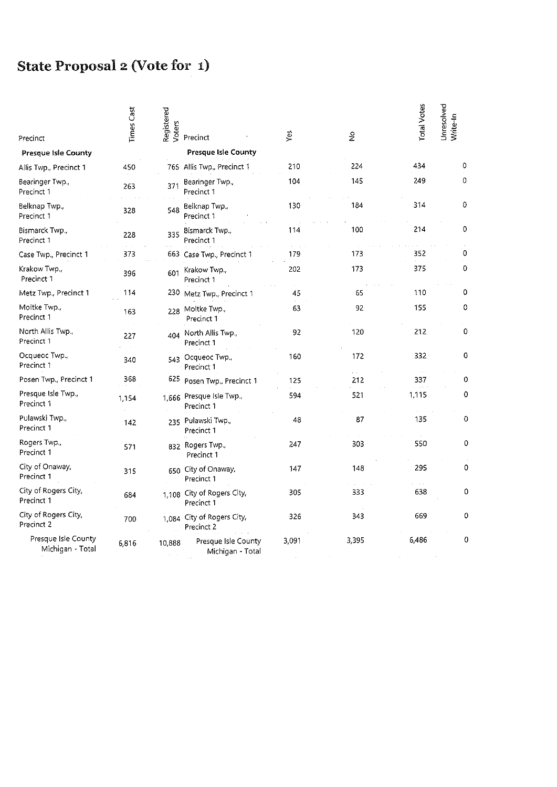#### **State Proposal 2 (Vote for 1)**

| Precinct                                | <b>Times</b> Cast | Registered<br>Voters | Precinct                                 | γéς   | $\frac{9}{2}$ | <b>Total Votes</b> | Unresolved<br>Write-In |
|-----------------------------------------|-------------------|----------------------|------------------------------------------|-------|---------------|--------------------|------------------------|
| <b>Presque Isle County</b>              |                   |                      | <b>Presque Isle County</b>               |       |               |                    |                        |
| Allis Two., Precinct 1                  | 450               |                      | 765 Allis Twp., Precinct 1               | 210   | 224           | 434                | 0                      |
| Bearinger Twp.<br>Precinct 1            | 263               | 371                  | Bearinger Twp.,<br>Precinct 1            | 104   | 145           | 249                | 0                      |
| Belknap Twp.,<br>Precinct 1             | 328               | 548                  | Belknap Twp.,<br>Precinct 1              | 130   | 184           | 314                | 0                      |
| Bismarck Twp.,<br>Precinct 1            | 228               | 335                  | Bismarck Twp.,<br>Precinct 1             | 114   | 100           | 214                | 0                      |
| Case Twp., Precinct 1                   | 373               |                      | 663 Case Twp., Precinct 1                | 179   | 173           | 352                | 0                      |
| Krakow Twp.,<br>Precinct 1              | 396               | 601                  | Krakow Twp.,<br>Precinct 1               | 202   | 173           | 375                | 0                      |
| Metz Twp., Precinct 1                   | 114               | 230                  | Metz Twp., Precinct 1                    | 45    | 65            | 110                | 0                      |
| Moltke Twp.,<br>Precinct 1              | 163               | 228                  | Moltke Twp.,<br>Precinct 1               | 63    | 92            | 155                | 0                      |
| North Allis Twp.,<br>Precinct 1         | 227               |                      | 404 North Allis Twp.,<br>Precinct 1      | 92    | 120           | 212                | 0                      |
| Ocqueoc Twp.,<br>Precinct 1             | 340               | 543                  | Ocqueoc Twp.<br>Precinct 1               | 160   | 172           | 332                | 0                      |
| Posen Twp., Precinct 1                  | 368               | 625                  | Posen Twp., Precinct 1                   | 125   | 212           | 337                | 0                      |
| Presque Isle Twp.,<br>Precinct 1        | 1,154             |                      | 1,666 Presque Isle Twp.,<br>Precinct 1   | 594   | 521           | 1,115              | 0                      |
| Pulawski Twp.,<br>Precinct 1            | 142               |                      | 235 Pulawski Twp.,<br>Precinct 1         | 48    | 87            | 135                | 0                      |
| Rogers Twp.,<br>Precinct 1              | 571               |                      | 832 Rogers Twp.,<br>Precinct 1           | 247   | 303           | 550                | $\mathbf 0$            |
| City of Onaway,<br>Precinct 1           | 315               |                      | 650 City of Onaway,<br>Precinct 1        | 147   | 148           | 295                | 0                      |
| City of Rogers City,<br>Precinct 1      | 684               |                      | 1,108 City of Rogers City,<br>Precinct 1 | 305   | 333           | 638                | 0                      |
| City of Rogers City,<br>Precinct 2      | 700               |                      | 1,084 City of Rogers City,<br>Precinct 2 | 326   | 343           | 669                | 0                      |
| Presque Isle County<br>Michigan - Total | 6,816             | 10,888               | Presque Isle County<br>Michigan - Total  | 3,091 | 3,395         | 6,486              | 0                      |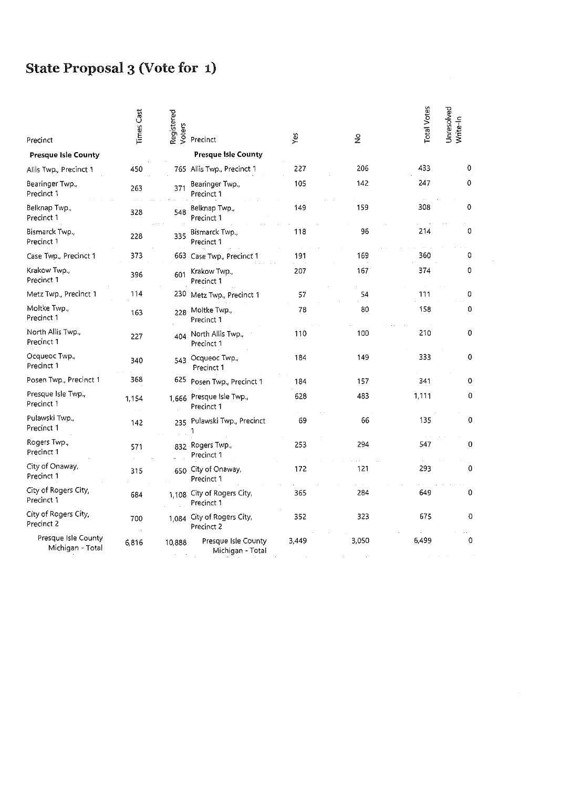#### **State Proposal 3 (Vote for** 1)

| Precinct                                | <b>Times</b> Cast | Registered<br>Voters | Precinct                                 | Yes   | $\frac{6}{2}$ | <b>Total Votes</b> | Unresolved<br>Write-In |
|-----------------------------------------|-------------------|----------------------|------------------------------------------|-------|---------------|--------------------|------------------------|
| <b>Presque Isle County</b>              |                   |                      | <b>Presque Isle County</b>               |       |               |                    |                        |
| Allis Twp., Precinct 1                  | 450               |                      | 765 Allis Twp., Precinct 1               | 227   | 206           | 433                | 0                      |
| Bearinger Twp.,<br>Precinct 1           | 263               | 371                  | Bearinger Twp.,<br>Precinct 1            | 105   | 142           | 247                | 0                      |
| Belknap Twp.,<br>Precinct 1             | 328               | 548                  | Belknap Twp.,<br>Precinct 1              | 149   | 159           | 308                | 0                      |
| Bismarck Twp.,<br>Precinct 1            | 228               | 335                  | Bismarck Twp.,<br>Precinct 1             | 118   | 96            | 214                | 0                      |
| Case Twp., Precinct 1                   | 373               |                      | 663 Case Twp., Precinct 1                | 191   | 169           | 360                | 0                      |
| Krakow Twp.,<br>Precinct 1              | 396               | 601                  | Krakow Twp.,<br>Precinct 1               | 207   | 167           | 374                | 0                      |
| Metz Twp., Precinct 1                   | 114               | 230                  | Metz Twp., Precinct 1                    | 57    | 54            | 111                | 0                      |
| Moltke Twp.,<br>Precinct 1              | 163               | 228                  | Moltke Twp.<br>Precinct 1                | 78    | 80            | 158                | 0                      |
| North Allis Twp.,<br>Precinct 1         | 227               |                      | 404 North Allis Twp.,<br>Precinct 1      | 110   | 100           | 210                | 0                      |
| Ocqueoc Twp.,<br>Precinct 1             | 340               |                      | 543 Ocqueoc Twp.,<br>Precinct 1          | 184   | 149           | 333                | 0                      |
| Posen Twp., Precinct 1                  | 368               | 625                  | Posen Twp., Precinct 1                   | 184   | 157           | 341                | 0                      |
| Presque Isle Twp.,<br>Precinct 1        | 1.154             | 1,666                | Presque Isle Twp.,<br>Precinct 1         | 628   | 483           | 1,111              | 0                      |
| Pulawski Twp.,<br>Precinct 1            | 142               |                      | 235 Pulawski Twp., Precinct              | 69    | 66            | 135                | 0                      |
| Rogers Twp.,<br>Precinct 1              | 571               |                      | 832 Rogers Twp.<br>Precinct 1            | 253   | 294           | 547                | 0                      |
| City of Onaway,<br>Precinct 1           | 315               |                      | 650 City of Onaway,<br>Precinct 1        | 172   | 121           | 293                | 0                      |
| City of Rogers City,<br>Precinct 1      | 684               |                      | 1,108 City of Rogers City,<br>Precinct 1 | 365   | 284           | 649                | 0                      |
| City of Rogers City,<br>Precinct 2      | 700               |                      | 1,084 City of Rogers City,<br>Precinct 2 | 352   | 323           | 675                | 0                      |
| Presque Isle County<br>Michigan - Total | 6,816             | 10,888               | Presque Isle County<br>Michigan - Total  | 3,449 | 3,050         | 6.499              | 0                      |

 $\sim 10^{-1}$ 

 $\sim$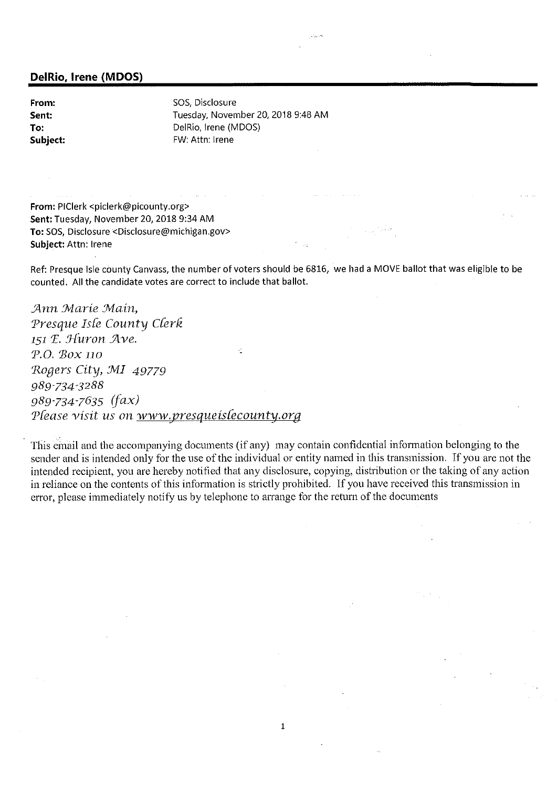#### **DelRio, Irene (MOOS)**

**Sent: To:** 

**From:** SOS, Disclosure Tuesday, November 20, 2018 9:48 AM DelRio, Irene (MDOS) **FW: Attn: Irene** 

فريدي

**From: PIClerk <piclerk@picounty.org> Sent:** Tuesday, November 20, 2018 9:34 AM **To:** SOS, Disclosure <Disclosure@michigan.gov> **Subject:** Attn: Irene

Ref: Presque Isle county Canvass, the number of voters should be 6816, we had a MOVE ballot that was eligible to be counted. All the candidate votes are correct to include **that** ballot.

*Ann Marie Main, Tresque Js{e County C{erk*  <sup>151</sup>'E. *J{uron Ave. T.O.* 'Box 110 *'Rogers City, :MI 49779 989-734-3288 989-734-7635 (fax) T{ease visit us on www:Presqueis{ecounty.orB* 

This email and the accompanying documents (if any) may contain confidential information belonging to the sender and is intended only for the use of the individual or entity named in this transmission. If you are not the intended recipient, you are hereby notified that any disclosure, copying, distribution or the taking of any action in reliance on the contents of this information is strictly prohibited. If you have received this transmission in error, please immediately notify us by telephone to arrange for the return of the documents

1